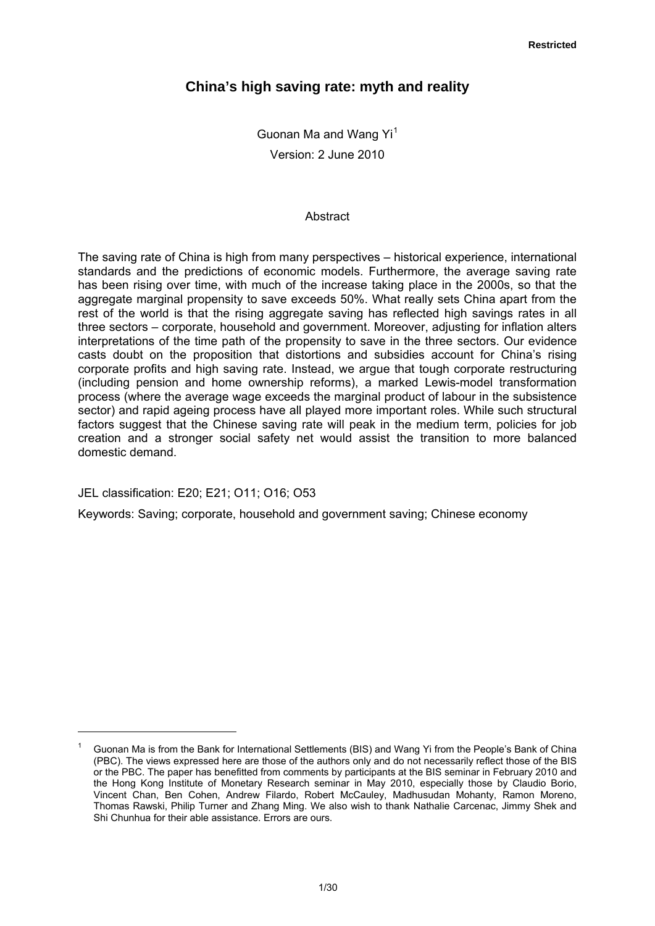# **China's high saving rate: myth and reality**

Guonan Ma and Wang Yi<sup>[1](#page-0-0)</sup> Version: 2 June 2010

#### **Abstract**

The saving rate of China is high from many perspectives – historical experience, international standards and the predictions of economic models. Furthermore, the average saving rate has been rising over time, with much of the increase taking place in the 2000s, so that the aggregate marginal propensity to save exceeds 50%. What really sets China apart from the rest of the world is that the rising aggregate saving has reflected high savings rates in all three sectors – corporate, household and government. Moreover, adjusting for inflation alters interpretations of the time path of the propensity to save in the three sectors. Our evidence casts doubt on the proposition that distortions and subsidies account for China's rising corporate profits and high saving rate. Instead, we argue that tough corporate restructuring (including pension and home ownership reforms), a marked Lewis-model transformation process (where the average wage exceeds the marginal product of labour in the subsistence sector) and rapid ageing process have all played more important roles. While such structural factors suggest that the Chinese saving rate will peak in the medium term, policies for job creation and a stronger social safety net would assist the transition to more balanced domestic demand.

JEL classification: E20; E21; O11; O16; O53

-

Keywords: Saving; corporate, household and government saving; Chinese economy

<span id="page-0-0"></span><sup>1</sup> Guonan Ma is from the Bank for International Settlements (BIS) and Wang Yi from the People's Bank of China (PBC). The views expressed here are those of the authors only and do not necessarily reflect those of the BIS or the PBC. The paper has benefitted from comments by participants at the BIS seminar in February 2010 and the Hong Kong Institute of Monetary Research seminar in May 2010, especially those by Claudio Borio, Vincent Chan, Ben Cohen, Andrew Filardo, Robert McCauley, Madhusudan Mohanty, Ramon Moreno, Thomas Rawski, Philip Turner and Zhang Ming. We also wish to thank Nathalie Carcenac, Jimmy Shek and Shi Chunhua for their able assistance. Errors are ours.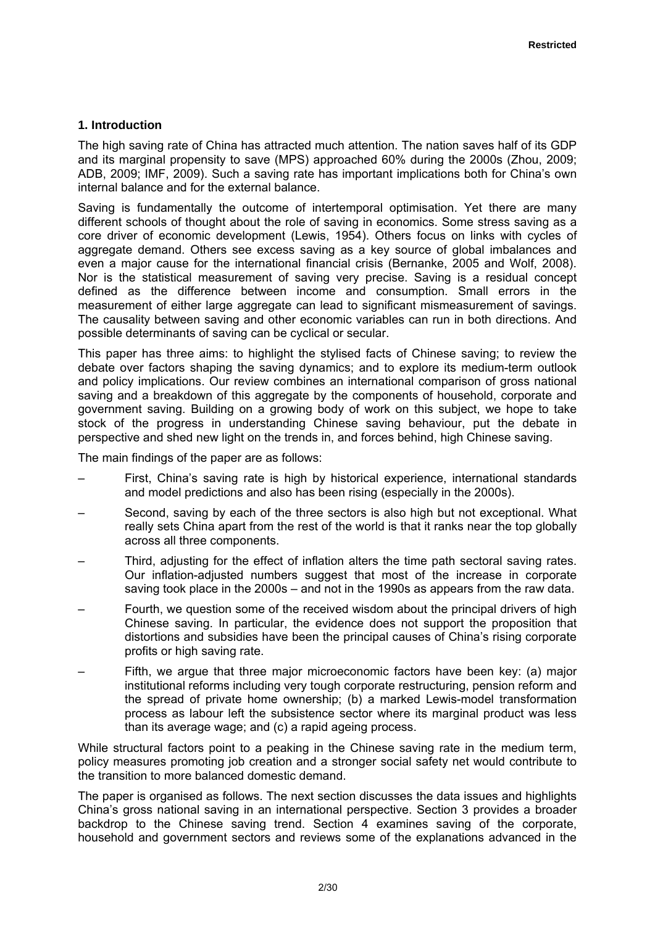#### **1. Introduction**

The high saving rate of China has attracted much attention. The nation saves half of its GDP and its marginal propensity to save (MPS) approached 60% during the 2000s (Zhou, 2009; ADB, 2009; IMF, 2009). Such a saving rate has important implications both for China's own internal balance and for the external balance.

Saving is fundamentally the outcome of intertemporal optimisation. Yet there are many different schools of thought about the role of saving in economics. Some stress saving as a core driver of economic development (Lewis, 1954). Others focus on links with cycles of aggregate demand. Others see excess saving as a key source of global imbalances and even a major cause for the international financial crisis (Bernanke, 2005 and Wolf, 2008). Nor is the statistical measurement of saving very precise. Saving is a residual concept defined as the difference between income and consumption. Small errors in the measurement of either large aggregate can lead to significant mismeasurement of savings. The causality between saving and other economic variables can run in both directions. And possible determinants of saving can be cyclical or secular.

This paper has three aims: to highlight the stylised facts of Chinese saving; to review the debate over factors shaping the saving dynamics; and to explore its medium-term outlook and policy implications. Our review combines an international comparison of gross national saving and a breakdown of this aggregate by the components of household, corporate and government saving. Building on a growing body of work on this subject, we hope to take stock of the progress in understanding Chinese saving behaviour, put the debate in perspective and shed new light on the trends in, and forces behind, high Chinese saving.

The main findings of the paper are as follows:

- First, China's saving rate is high by historical experience, international standards and model predictions and also has been rising (especially in the 2000s).
- Second, saving by each of the three sectors is also high but not exceptional. What really sets China apart from the rest of the world is that it ranks near the top globally across all three components.
- Third, adjusting for the effect of inflation alters the time path sectoral saving rates. Our inflation-adjusted numbers suggest that most of the increase in corporate saving took place in the 2000s – and not in the 1990s as appears from the raw data.
- Fourth, we question some of the received wisdom about the principal drivers of high Chinese saving. In particular, the evidence does not support the proposition that distortions and subsidies have been the principal causes of China's rising corporate profits or high saving rate.
- Fifth, we argue that three major microeconomic factors have been key: (a) major institutional reforms including very tough corporate restructuring, pension reform and the spread of private home ownership; (b) a marked Lewis-model transformation process as labour left the subsistence sector where its marginal product was less than its average wage; and (c) a rapid ageing process.

While structural factors point to a peaking in the Chinese saving rate in the medium term, policy measures promoting job creation and a stronger social safety net would contribute to the transition to more balanced domestic demand.

The paper is organised as follows. The next section discusses the data issues and highlights China's gross national saving in an international perspective. Section 3 provides a broader backdrop to the Chinese saving trend. Section 4 examines saving of the corporate, household and government sectors and reviews some of the explanations advanced in the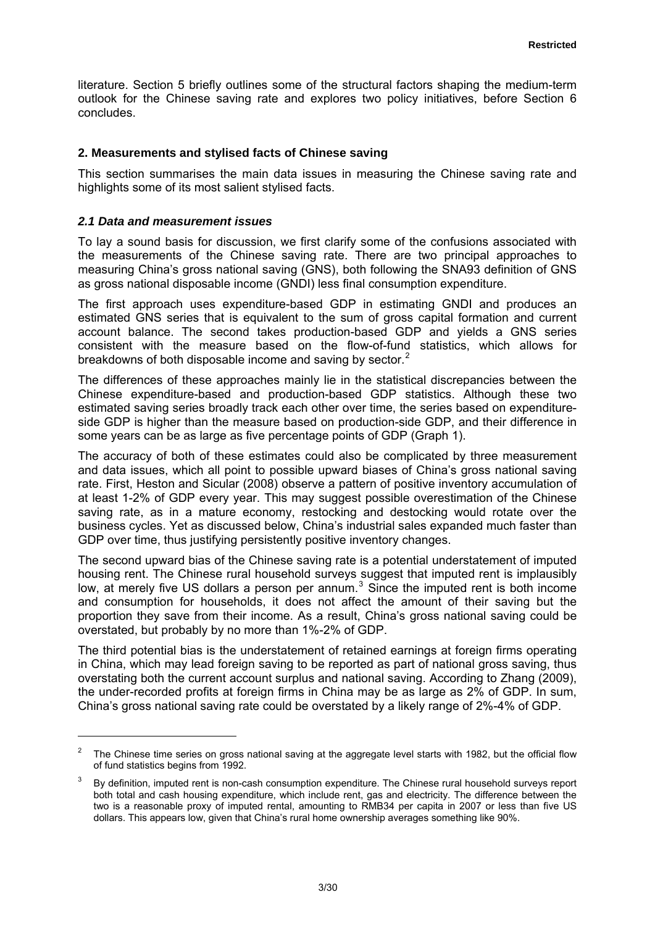literature. Section 5 briefly outlines some of the structural factors shaping the medium-term outlook for the Chinese saving rate and explores two policy initiatives, before Section 6 concludes.

#### **2. Measurements and stylised facts of Chinese saving**

This section summarises the main data issues in measuring the Chinese saving rate and highlights some of its most salient stylised facts.

#### *2.1 Data and measurement issues*

-

To lay a sound basis for discussion, we first clarify some of the confusions associated with the measurements of the Chinese saving rate. There are two principal approaches to measuring China's gross national saving (GNS), both following the SNA93 definition of GNS as gross national disposable income (GNDI) less final consumption expenditure.

The first approach uses expenditure-based GDP in estimating GNDI and produces an estimated GNS series that is equivalent to the sum of gross capital formation and current account balance. The second takes production-based GDP and yields a GNS series consistent with the measure based on the flow-of-fund statistics, which allows for breakdowns of both disposable income and saving by sector. $2$ 

The differences of these approaches mainly lie in the statistical discrepancies between the Chinese expenditure-based and production-based GDP statistics. Although these two estimated saving series broadly track each other over time, the series based on expenditureside GDP is higher than the measure based on production-side GDP, and their difference in some years can be as large as five percentage points of GDP (Graph 1).

The accuracy of both of these estimates could also be complicated by three measurement and data issues, which all point to possible upward biases of China's gross national saving rate. First, Heston and Sicular (2008) observe a pattern of positive inventory accumulation of at least 1-2% of GDP every year. This may suggest possible overestimation of the Chinese saving rate, as in a mature economy, restocking and destocking would rotate over the business cycles. Yet as discussed below, China's industrial sales expanded much faster than GDP over time, thus justifying persistently positive inventory changes.

The second upward bias of the Chinese saving rate is a potential understatement of imputed housing rent. The Chinese rural household surveys suggest that imputed rent is implausibly low, at merely five US dollars a person per annum.<sup>[3](#page-2-1)</sup> Since the imputed rent is both income and consumption for households, it does not affect the amount of their saving but the proportion they save from their income. As a result, China's gross national saving could be overstated, but probably by no more than 1%-2% of GDP.

The third potential bias is the understatement of retained earnings at foreign firms operating in China, which may lead foreign saving to be reported as part of national gross saving, thus overstating both the current account surplus and national saving. According to Zhang (2009), the under-recorded profits at foreign firms in China may be as large as 2% of GDP. In sum, China's gross national saving rate could be overstated by a likely range of 2%-4% of GDP.

<span id="page-2-0"></span><sup>2</sup> The Chinese time series on gross national saving at the aggregate level starts with 1982, but the official flow of fund statistics begins from 1992.

<span id="page-2-1"></span><sup>3</sup> By definition, imputed rent is non-cash consumption expenditure. The Chinese rural household surveys report both total and cash housing expenditure, which include rent, gas and electricity. The difference between the two is a reasonable proxy of imputed rental, amounting to RMB34 per capita in 2007 or less than five US dollars. This appears low, given that China's rural home ownership averages something like 90%.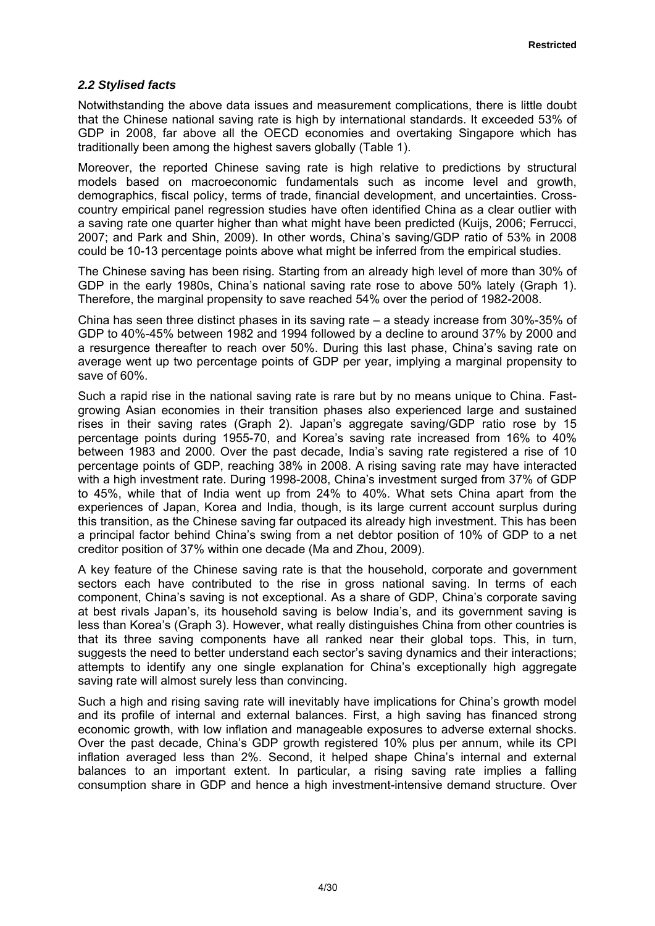#### *2.2 Stylised facts*

Notwithstanding the above data issues and measurement complications, there is little doubt that the Chinese national saving rate is high by international standards. It exceeded 53% of GDP in 2008, far above all the OECD economies and overtaking Singapore which has traditionally been among the highest savers globally (Table 1).

Moreover, the reported Chinese saving rate is high relative to predictions by structural models based on macroeconomic fundamentals such as income level and growth, demographics, fiscal policy, terms of trade, financial development, and uncertainties. Crosscountry empirical panel regression studies have often identified China as a clear outlier with a saving rate one quarter higher than what might have been predicted (Kuijs, 2006; Ferrucci, 2007; and Park and Shin, 2009). In other words, China's saving/GDP ratio of 53% in 2008 could be 10-13 percentage points above what might be inferred from the empirical studies.

The Chinese saving has been rising. Starting from an already high level of more than 30% of GDP in the early 1980s, China's national saving rate rose to above 50% lately (Graph 1). Therefore, the marginal propensity to save reached 54% over the period of 1982-2008.

China has seen three distinct phases in its saving rate – a steady increase from 30%-35% of GDP to 40%-45% between 1982 and 1994 followed by a decline to around 37% by 2000 and a resurgence thereafter to reach over 50%. During this last phase, China's saving rate on average went up two percentage points of GDP per year, implying a marginal propensity to save of 60%.

Such a rapid rise in the national saving rate is rare but by no means unique to China. Fastgrowing Asian economies in their transition phases also experienced large and sustained rises in their saving rates (Graph 2). Japan's aggregate saving/GDP ratio rose by 15 percentage points during 1955-70, and Korea's saving rate increased from 16% to 40% between 1983 and 2000. Over the past decade, India's saving rate registered a rise of 10 percentage points of GDP, reaching 38% in 2008. A rising saving rate may have interacted with a high investment rate. During 1998-2008, China's investment surged from 37% of GDP to 45%, while that of India went up from 24% to 40%. What sets China apart from the experiences of Japan, Korea and India, though, is its large current account surplus during this transition, as the Chinese saving far outpaced its already high investment. This has been a principal factor behind China's swing from a net debtor position of 10% of GDP to a net creditor position of 37% within one decade (Ma and Zhou, 2009).

A key feature of the Chinese saving rate is that the household, corporate and government sectors each have contributed to the rise in gross national saving. In terms of each component, China's saving is not exceptional. As a share of GDP, China's corporate saving at best rivals Japan's, its household saving is below India's, and its government saving is less than Korea's (Graph 3). However, what really distinguishes China from other countries is that its three saving components have all ranked near their global tops. This, in turn, suggests the need to better understand each sector's saving dynamics and their interactions; attempts to identify any one single explanation for China's exceptionally high aggregate saving rate will almost surely less than convincing.

Such a high and rising saving rate will inevitably have implications for China's growth model and its profile of internal and external balances. First, a high saving has financed strong economic growth, with low inflation and manageable exposures to adverse external shocks. Over the past decade, China's GDP growth registered 10% plus per annum, while its CPI inflation averaged less than 2%. Second, it helped shape China's internal and external balances to an important extent. In particular, a rising saving rate implies a falling consumption share in GDP and hence a high investment-intensive demand structure. Over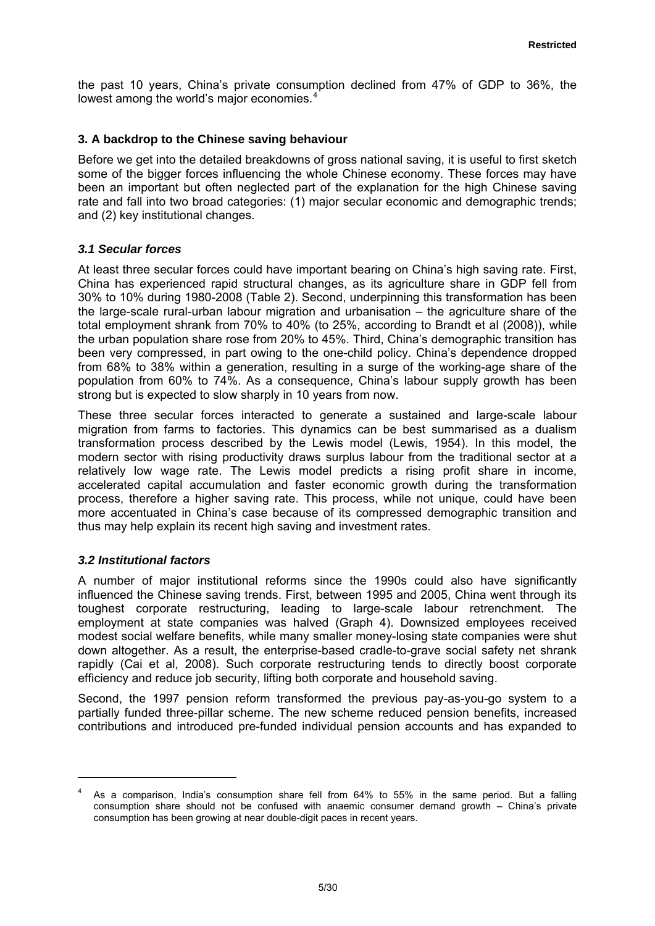the past 10 years, China's private consumption declined from 47% of GDP to 36%, the lowest among the world's major economies.<sup>[4](#page-4-0)</sup>

## **3. A backdrop to the Chinese saving behaviour**

Before we get into the detailed breakdowns of gross national saving, it is useful to first sketch some of the bigger forces influencing the whole Chinese economy. These forces may have been an important but often neglected part of the explanation for the high Chinese saving rate and fall into two broad categories: (1) major secular economic and demographic trends; and (2) key institutional changes.

## *3.1 Secular forces*

At least three secular forces could have important bearing on China's high saving rate. First, China has experienced rapid structural changes, as its agriculture share in GDP fell from 30% to 10% during 1980-2008 (Table 2). Second, underpinning this transformation has been the large-scale rural-urban labour migration and urbanisation – the agriculture share of the total employment shrank from 70% to 40% (to 25%, according to Brandt et al (2008)), while the urban population share rose from 20% to 45%. Third, China's demographic transition has been very compressed, in part owing to the one-child policy. China's dependence dropped from 68% to 38% within a generation, resulting in a surge of the working-age share of the population from 60% to 74%. As a consequence, China's labour supply growth has been strong but is expected to slow sharply in 10 years from now.

These three secular forces interacted to generate a sustained and large-scale labour migration from farms to factories. This dynamics can be best summarised as a dualism transformation process described by the Lewis model (Lewis, 1954). In this model, the modern sector with rising productivity draws surplus labour from the traditional sector at a relatively low wage rate. The Lewis model predicts a rising profit share in income, accelerated capital accumulation and faster economic growth during the transformation process, therefore a higher saving rate. This process, while not unique, could have been more accentuated in China's case because of its compressed demographic transition and thus may help explain its recent high saving and investment rates.

## *3.2 Institutional factors*

-

A number of major institutional reforms since the 1990s could also have significantly influenced the Chinese saving trends. First, between 1995 and 2005, China went through its toughest corporate restructuring, leading to large-scale labour retrenchment. The employment at state companies was halved (Graph 4). Downsized employees received modest social welfare benefits, while many smaller money-losing state companies were shut down altogether. As a result, the enterprise-based cradle-to-grave social safety net shrank rapidly (Cai et al, 2008). Such corporate restructuring tends to directly boost corporate efficiency and reduce job security, lifting both corporate and household saving.

Second, the 1997 pension reform transformed the previous pay-as-you-go system to a partially funded three-pillar scheme. The new scheme reduced pension benefits, increased contributions and introduced pre-funded individual pension accounts and has expanded to

<span id="page-4-0"></span><sup>4</sup> As a comparison, India's consumption share fell from 64% to 55% in the same period. But a falling consumption share should not be confused with anaemic consumer demand growth – China's private consumption has been growing at near double-digit paces in recent years.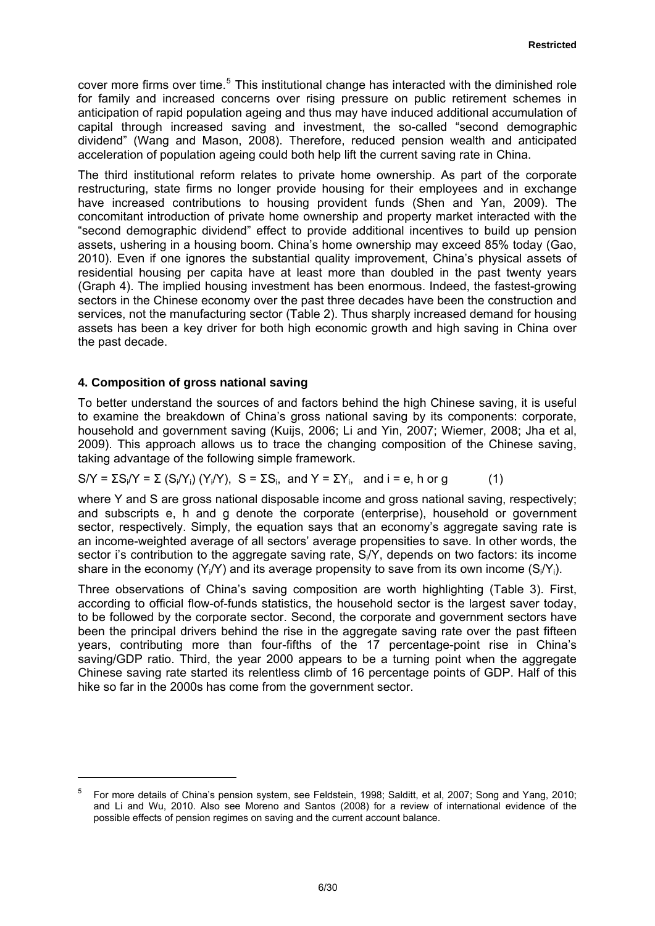cover more firms over time.<sup>[5](#page-5-0)</sup> This institutional change has interacted with the diminished role for family and increased concerns over rising pressure on public retirement schemes in anticipation of rapid population ageing and thus may have induced additional accumulation of capital through increased saving and investment, the so-called "second demographic dividend" (Wang and Mason, 2008). Therefore, reduced pension wealth and anticipated acceleration of population ageing could both help lift the current saving rate in China.

The third institutional reform relates to private home ownership. As part of the corporate restructuring, state firms no longer provide housing for their employees and in exchange have increased contributions to housing provident funds (Shen and Yan, 2009). The concomitant introduction of private home ownership and property market interacted with the "second demographic dividend" effect to provide additional incentives to build up pension assets, ushering in a housing boom. China's home ownership may exceed 85% today (Gao, 2010). Even if one ignores the substantial quality improvement, China's physical assets of residential housing per capita have at least more than doubled in the past twenty years (Graph 4). The implied housing investment has been enormous. Indeed, the fastest-growing sectors in the Chinese economy over the past three decades have been the construction and services, not the manufacturing sector (Table 2). Thus sharply increased demand for housing assets has been a key driver for both high economic growth and high saving in China over the past decade.

#### **4. Composition of gross national saving**

-

To better understand the sources of and factors behind the high Chinese saving, it is useful to examine the breakdown of China's gross national saving by its components: corporate, household and government saving (Kuijs, 2006; Li and Yin, 2007; Wiemer, 2008; Jha et al, 2009). This approach allows us to trace the changing composition of the Chinese saving, taking advantage of the following simple framework.

$$
S/Y = \Sigma S_i/Y = \Sigma (S_i/Y_i) (Y_i/Y), \quad S = \Sigma S_i, \text{ and } Y = \Sigma Y_i, \text{ and } i = e, h \text{ or } g
$$
 (1)

where Y and S are gross national disposable income and gross national saving, respectively; and subscripts e, h and g denote the corporate (enterprise), household or government sector, respectively. Simply, the equation says that an economy's aggregate saving rate is an income-weighted average of all sectors' average propensities to save. In other words, the sector i's contribution to the aggregate saving rate, S<sub>i</sub>/Y, depends on two factors: its income share in the economy  $(Y_i/Y)$  and its average propensity to save from its own income  $(S_i/Y_i)$ .

Three observations of China's saving composition are worth highlighting (Table 3). First, according to official flow-of-funds statistics, the household sector is the largest saver today, to be followed by the corporate sector. Second, the corporate and government sectors have been the principal drivers behind the rise in the aggregate saving rate over the past fifteen years, contributing more than four-fifths of the 17 percentage-point rise in China's saving/GDP ratio. Third, the year 2000 appears to be a turning point when the aggregate Chinese saving rate started its relentless climb of 16 percentage points of GDP. Half of this hike so far in the 2000s has come from the government sector.

<span id="page-5-0"></span><sup>5</sup> For more details of China's pension system, see Feldstein, 1998; Salditt, et al, 2007; Song and Yang, 2010; and Li and Wu, 2010. Also see Moreno and Santos (2008) for a review of international evidence of the possible effects of pension regimes on saving and the current account balance.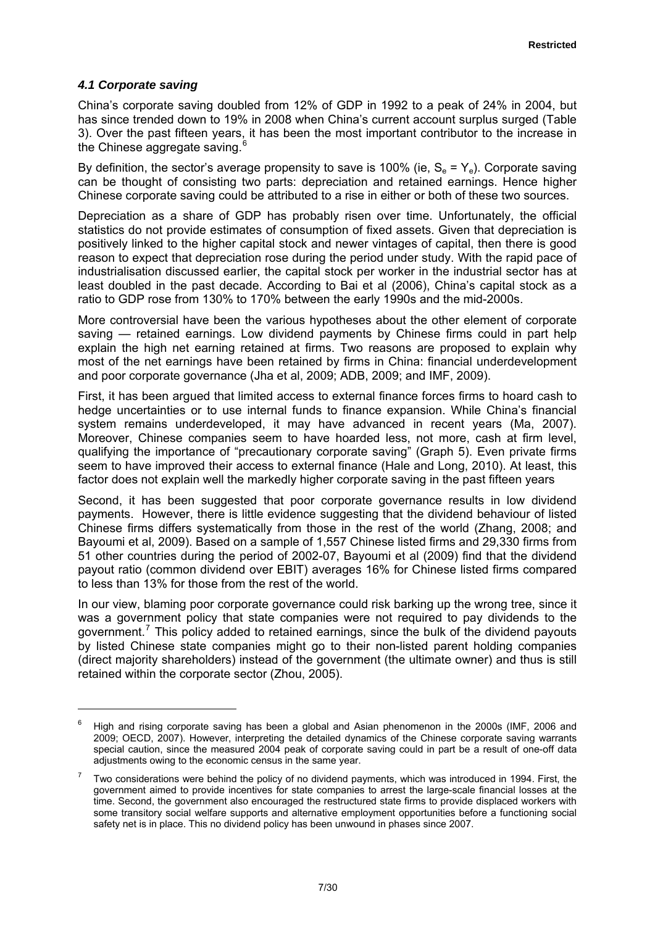#### *4.1 Corporate saving*

-

China's corporate saving doubled from 12% of GDP in 1992 to a peak of 24% in 2004, but has since trended down to 19% in 2008 when China's current account surplus surged (Table 3). Over the past fifteen years, it has been the most important contributor to the increase in the Chinese aggregate saving.

By definition, the sector's average propensity to save is 100% (ie,  $S_e = Y_e$ ). Corporate saving can be thought of consisting two parts: depreciation and retained earnings. Hence higher Chinese corporate saving could be attributed to a rise in either or both of these two sources.

Depreciation as a share of GDP has probably risen over time. Unfortunately, the official statistics do not provide estimates of consumption of fixed assets. Given that depreciation is positively linked to the higher capital stock and newer vintages of capital, then there is good reason to expect that depreciation rose during the period under study. With the rapid pace of industrialisation discussed earlier, the capital stock per worker in the industrial sector has at least doubled in the past decade. According to Bai et al (2006), China's capital stock as a ratio to GDP rose from 130% to 170% between the early 1990s and the mid-2000s.

More controversial have been the various hypotheses about the other element of corporate saving — retained earnings. Low dividend payments by Chinese firms could in part help explain the high net earning retained at firms. Two reasons are proposed to explain why most of the net earnings have been retained by firms in China: financial underdevelopment and poor corporate governance (Jha et al, 2009; ADB, 2009; and IMF, 2009).

First, it has been argued that limited access to external finance forces firms to hoard cash to hedge uncertainties or to use internal funds to finance expansion. While China's financial system remains underdeveloped, it may have advanced in recent years (Ma, 2007). Moreover, Chinese companies seem to have hoarded less, not more, cash at firm level, qualifying the importance of "precautionary corporate saving" (Graph 5). Even private firms seem to have improved their access to external finance (Hale and Long, 2010). At least, this factor does not explain well the markedly higher corporate saving in the past fifteen years

Second, it has been suggested that poor corporate governance results in low dividend payments. However, there is little evidence suggesting that the dividend behaviour of listed Chinese firms differs systematically from those in the rest of the world (Zhang, 2008; and Bayoumi et al, 2009). Based on a sample of 1,557 Chinese listed firms and 29,330 firms from 51 other countries during the period of 2002-07, Bayoumi et al (2009) find that the dividend payout ratio (common dividend over EBIT) averages 16% for Chinese listed firms compared to less than 13% for those from the rest of the world.

In our view, blaming poor corporate governance could risk barking up the wrong tree, since it was a government policy that state companies were not required to pay dividends to the government.<sup>[7](#page-6-1)</sup> This policy added to retained earnings, since the bulk of the dividend payouts by listed Chinese state companies might go to their non-listed parent holding companies (direct majority shareholders) instead of the government (the ultimate owner) and thus is still retained within the corporate sector (Zhou, 2005).

<span id="page-6-0"></span><sup>6</sup> High and rising corporate saving has been a global and Asian phenomenon in the 2000s (IMF, 2006 and 2009; OECD, 2007). However, interpreting the detailed dynamics of the Chinese corporate saving warrants special caution, since the measured 2004 peak of corporate saving could in part be a result of one-off data adjustments owing to the economic census in the same year.

<span id="page-6-1"></span><sup>7</sup> Two considerations were behind the policy of no dividend payments, which was introduced in 1994. First, the government aimed to provide incentives for state companies to arrest the large-scale financial losses at the time. Second, the government also encouraged the restructured state firms to provide displaced workers with some transitory social welfare supports and alternative employment opportunities before a functioning social safety net is in place. This no dividend policy has been unwound in phases since 2007.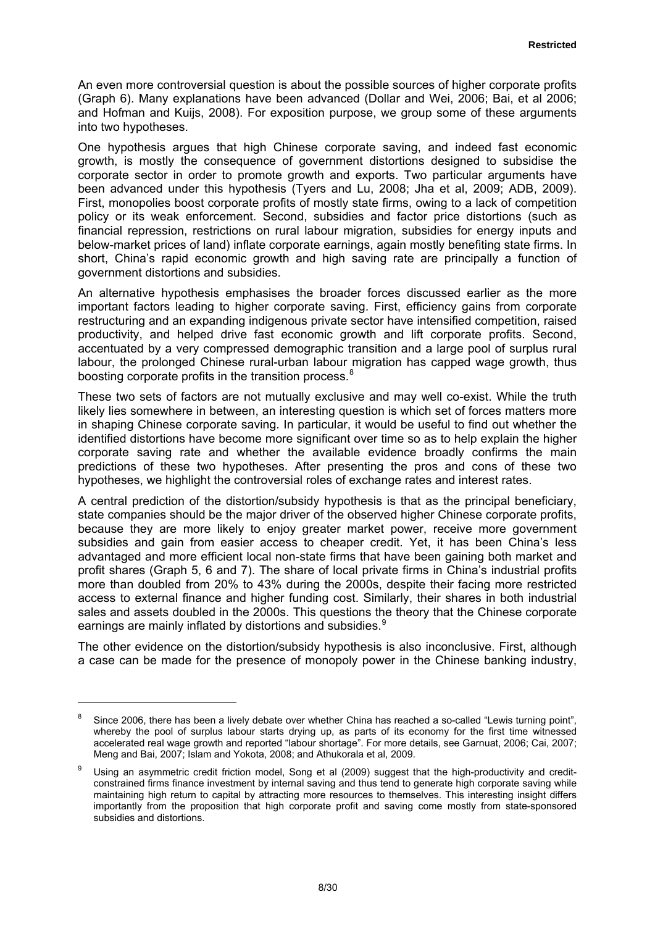An even more controversial question is about the possible sources of higher corporate profits (Graph 6). Many explanations have been advanced (Dollar and Wei, 2006; Bai, et al 2006; and Hofman and Kuijs, 2008). For exposition purpose, we group some of these arguments into two hypotheses.

One hypothesis argues that high Chinese corporate saving, and indeed fast economic growth, is mostly the consequence of government distortions designed to subsidise the corporate sector in order to promote growth and exports. Two particular arguments have been advanced under this hypothesis (Tyers and Lu, 2008; Jha et al, 2009; ADB, 2009). First, monopolies boost corporate profits of mostly state firms, owing to a lack of competition policy or its weak enforcement. Second, subsidies and factor price distortions (such as financial repression, restrictions on rural labour migration, subsidies for energy inputs and below-market prices of land) inflate corporate earnings, again mostly benefiting state firms. In short, China's rapid economic growth and high saving rate are principally a function of government distortions and subsidies.

An alternative hypothesis emphasises the broader forces discussed earlier as the more important factors leading to higher corporate saving. First, efficiency gains from corporate restructuring and an expanding indigenous private sector have intensified competition, raised productivity, and helped drive fast economic growth and lift corporate profits. Second, accentuated by a very compressed demographic transition and a large pool of surplus rural labour, the prolonged Chinese rural-urban labour migration has capped wage growth, thus boosting corporate profits in the transition process.<sup>[8](#page-7-0)</sup>

These two sets of factors are not mutually exclusive and may well co-exist. While the truth likely lies somewhere in between, an interesting question is which set of forces matters more in shaping Chinese corporate saving. In particular, it would be useful to find out whether the identified distortions have become more significant over time so as to help explain the higher corporate saving rate and whether the available evidence broadly confirms the main predictions of these two hypotheses. After presenting the pros and cons of these two hypotheses, we highlight the controversial roles of exchange rates and interest rates.

A central prediction of the distortion/subsidy hypothesis is that as the principal beneficiary, state companies should be the major driver of the observed higher Chinese corporate profits, because they are more likely to enjoy greater market power, receive more government subsidies and gain from easier access to cheaper credit. Yet, it has been China's less advantaged and more efficient local non-state firms that have been gaining both market and profit shares (Graph 5, 6 and 7). The share of local private firms in China's industrial profits more than doubled from 20% to 43% during the 2000s, despite their facing more restricted access to external finance and higher funding cost. Similarly, their shares in both industrial sales and assets doubled in the 2000s. This questions the theory that the Chinese corporate earnings are mainly inflated by distortions and subsidies.<sup>[9](#page-7-1)</sup>

The other evidence on the distortion/subsidy hypothesis is also inconclusive. First, although a case can be made for the presence of monopoly power in the Chinese banking industry,

-

<span id="page-7-0"></span><sup>8</sup> Since 2006, there has been a lively debate over whether China has reached a so-called "Lewis turning point", whereby the pool of surplus labour starts drying up, as parts of its economy for the first time witnessed accelerated real wage growth and reported "labour shortage". For more details, see Garnuat, 2006; Cai, 2007; Meng and Bai, 2007; Islam and Yokota, 2008; and Athukorala et al, 2009.

<span id="page-7-1"></span><sup>9</sup> Using an asymmetric credit friction model, Song et al (2009) suggest that the high-productivity and creditconstrained firms finance investment by internal saving and thus tend to generate high corporate saving while maintaining high return to capital by attracting more resources to themselves. This interesting insight differs importantly from the proposition that high corporate profit and saving come mostly from state-sponsored subsidies and distortions.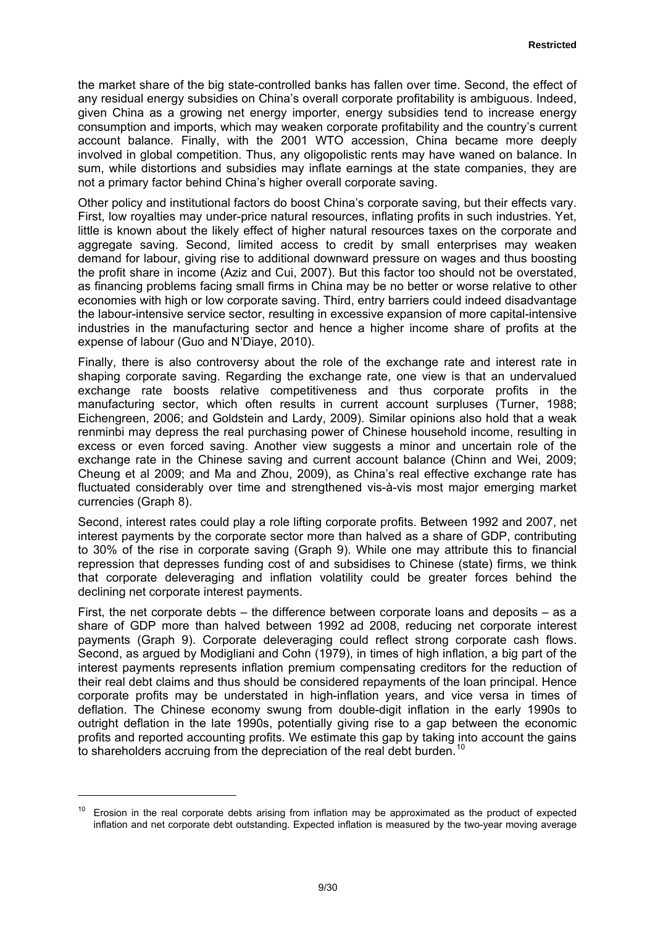the market share of the big state-controlled banks has fallen over time. Second, the effect of any residual energy subsidies on China's overall corporate profitability is ambiguous. Indeed, given China as a growing net energy importer, energy subsidies tend to increase energy consumption and imports, which may weaken corporate profitability and the country's current account balance. Finally, with the 2001 WTO accession, China became more deeply involved in global competition. Thus, any oligopolistic rents may have waned on balance. In sum, while distortions and subsidies may inflate earnings at the state companies, they are not a primary factor behind China's higher overall corporate saving.

Other policy and institutional factors do boost China's corporate saving, but their effects vary. First, low royalties may under-price natural resources, inflating profits in such industries. Yet, little is known about the likely effect of higher natural resources taxes on the corporate and aggregate saving. Second, limited access to credit by small enterprises may weaken demand for labour, giving rise to additional downward pressure on wages and thus boosting the profit share in income (Aziz and Cui, 2007). But this factor too should not be overstated, as financing problems facing small firms in China may be no better or worse relative to other economies with high or low corporate saving. Third, entry barriers could indeed disadvantage the labour-intensive service sector, resulting in excessive expansion of more capital-intensive industries in the manufacturing sector and hence a higher income share of profits at the expense of labour (Guo and N'Diaye, 2010).

Finally, there is also controversy about the role of the exchange rate and interest rate in shaping corporate saving. Regarding the exchange rate, one view is that an undervalued exchange rate boosts relative competitiveness and thus corporate profits in the manufacturing sector, which often results in current account surpluses (Turner, 1988; Eichengreen, 2006; and Goldstein and Lardy, 2009). Similar opinions also hold that a weak renminbi may depress the real purchasing power of Chinese household income, resulting in excess or even forced saving. Another view suggests a minor and uncertain role of the exchange rate in the Chinese saving and current account balance (Chinn and Wei, 2009; Cheung et al 2009; and Ma and Zhou, 2009), as China's real effective exchange rate has fluctuated considerably over time and strengthened vis-à-vis most major emerging market currencies (Graph 8).

Second, interest rates could play a role lifting corporate profits. Between 1992 and 2007, net interest payments by the corporate sector more than halved as a share of GDP, contributing to 30% of the rise in corporate saving (Graph 9). While one may attribute this to financial repression that depresses funding cost of and subsidises to Chinese (state) firms, we think that corporate deleveraging and inflation volatility could be greater forces behind the declining net corporate interest payments.

First, the net corporate debts – the difference between corporate loans and deposits – as a share of GDP more than halved between 1992 ad 2008, reducing net corporate interest payments (Graph 9). Corporate deleveraging could reflect strong corporate cash flows. Second, as argued by Modigliani and Cohn (1979), in times of high inflation, a big part of the interest payments represents inflation premium compensating creditors for the reduction of their real debt claims and thus should be considered repayments of the loan principal. Hence corporate profits may be understated in high-inflation years, and vice versa in times of deflation. The Chinese economy swung from double-digit inflation in the early 1990s to outright deflation in the late 1990s, potentially giving rise to a gap between the economic profits and reported accounting profits. We estimate this gap by taking into account the gains to shareholders accruing from the depreciation of the real debt burden.<sup>[10](#page-8-0)</sup>

 $\overline{a}$ 

<span id="page-8-0"></span>Erosion in the real corporate debts arising from inflation may be approximated as the product of expected inflation and net corporate debt outstanding. Expected inflation is measured by the two-year moving average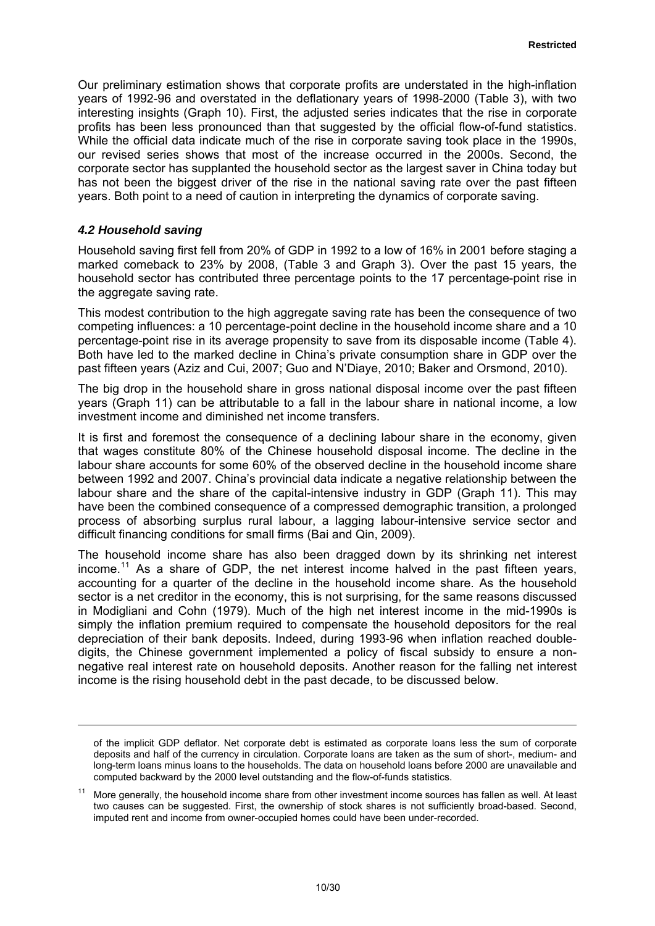Our preliminary estimation shows that corporate profits are understated in the high-inflation years of 1992-96 and overstated in the deflationary years of 1998-2000 (Table 3), with two interesting insights (Graph 10). First, the adjusted series indicates that the rise in corporate profits has been less pronounced than that suggested by the official flow-of-fund statistics. While the official data indicate much of the rise in corporate saving took place in the 1990s, our revised series shows that most of the increase occurred in the 2000s. Second, the corporate sector has supplanted the household sector as the largest saver in China today but has not been the biggest driver of the rise in the national saving rate over the past fifteen years. Both point to a need of caution in interpreting the dynamics of corporate saving.

#### *4.2 Household saving*

 $\overline{a}$ 

Household saving first fell from 20% of GDP in 1992 to a low of 16% in 2001 before staging a marked comeback to 23% by 2008, (Table 3 and Graph 3). Over the past 15 years, the household sector has contributed three percentage points to the 17 percentage-point rise in the aggregate saving rate.

This modest contribution to the high aggregate saving rate has been the consequence of two competing influences: a 10 percentage-point decline in the household income share and a 10 percentage-point rise in its average propensity to save from its disposable income (Table 4). Both have led to the marked decline in China's private consumption share in GDP over the past fifteen years (Aziz and Cui, 2007; Guo and N'Diaye, 2010; Baker and Orsmond, 2010).

The big drop in the household share in gross national disposal income over the past fifteen years (Graph 11) can be attributable to a fall in the labour share in national income, a low investment income and diminished net income transfers.

It is first and foremost the consequence of a declining labour share in the economy, given that wages constitute 80% of the Chinese household disposal income. The decline in the labour share accounts for some 60% of the observed decline in the household income share between 1992 and 2007. China's provincial data indicate a negative relationship between the labour share and the share of the capital-intensive industry in GDP (Graph 11). This may have been the combined consequence of a compressed demographic transition, a prolonged process of absorbing surplus rural labour, a lagging labour-intensive service sector and difficult financing conditions for small firms (Bai and Qin, 2009).

The household income share has also been dragged down by its shrinking net interest income.<sup>[11](#page-9-0)</sup> As a share of GDP, the net interest income halved in the past fifteen years, accounting for a quarter of the decline in the household income share. As the household sector is a net creditor in the economy, this is not surprising, for the same reasons discussed in Modigliani and Cohn (1979). Much of the high net interest income in the mid-1990s is simply the inflation premium required to compensate the household depositors for the real depreciation of their bank deposits. Indeed, during 1993-96 when inflation reached doubledigits, the Chinese government implemented a policy of fiscal subsidy to ensure a nonnegative real interest rate on household deposits. Another reason for the falling net interest income is the rising household debt in the past decade, to be discussed below.

of the implicit GDP deflator. Net corporate debt is estimated as corporate loans less the sum of corporate deposits and half of the currency in circulation. Corporate loans are taken as the sum of short-, medium- and long-term loans minus loans to the households. The data on household loans before 2000 are unavailable and computed backward by the 2000 level outstanding and the flow-of-funds statistics.

<span id="page-9-0"></span><sup>&</sup>lt;sup>11</sup> More generally, the household income share from other investment income sources has fallen as well. At least two causes can be suggested. First, the ownership of stock shares is not sufficiently broad-based. Second, imputed rent and income from owner-occupied homes could have been under-recorded.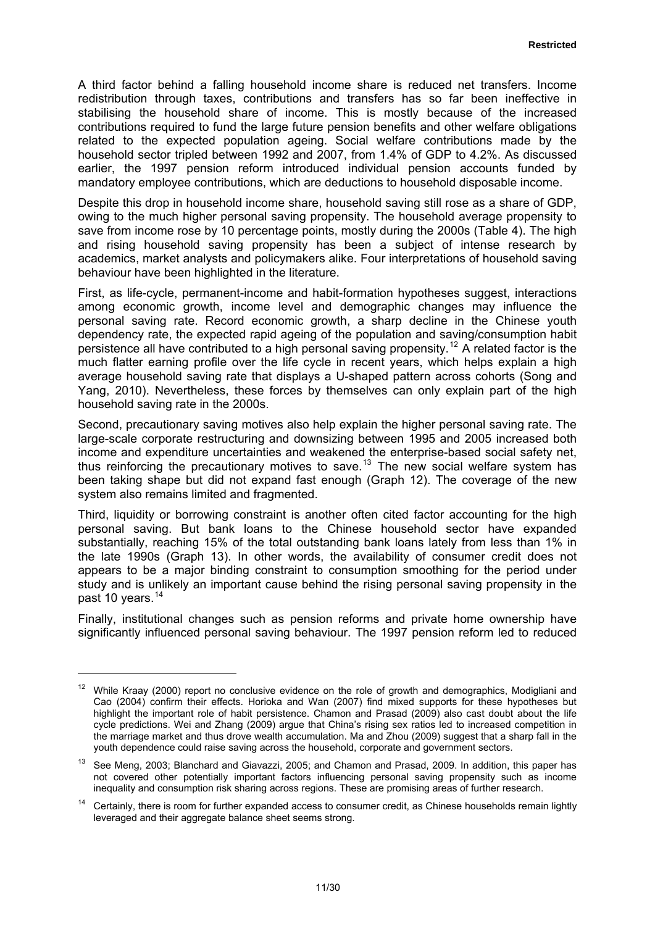A third factor behind a falling household income share is reduced net transfers. Income redistribution through taxes, contributions and transfers has so far been ineffective in stabilising the household share of income. This is mostly because of the increased contributions required to fund the large future pension benefits and other welfare obligations related to the expected population ageing. Social welfare contributions made by the household sector tripled between 1992 and 2007, from 1.4% of GDP to 4.2%. As discussed earlier, the 1997 pension reform introduced individual pension accounts funded by mandatory employee contributions, which are deductions to household disposable income.

Despite this drop in household income share, household saving still rose as a share of GDP, owing to the much higher personal saving propensity. The household average propensity to save from income rose by 10 percentage points, mostly during the 2000s (Table 4). The high and rising household saving propensity has been a subject of intense research by academics, market analysts and policymakers alike. Four interpretations of household saving behaviour have been highlighted in the literature.

First, as life-cycle, permanent-income and habit-formation hypotheses suggest, interactions among economic growth, income level and demographic changes may influence the personal saving rate. Record economic growth, a sharp decline in the Chinese youth dependency rate, the expected rapid ageing of the population and saving/consumption habit persistence all have contributed to a high personal saving propensity.<sup>[12](#page-10-0)</sup> A related factor is the much flatter earning profile over the life cycle in recent years, which helps explain a high average household saving rate that displays a U-shaped pattern across cohorts (Song and Yang, 2010). Nevertheless, these forces by themselves can only explain part of the high household saving rate in the 2000s.

Second, precautionary saving motives also help explain the higher personal saving rate. The large-scale corporate restructuring and downsizing between 1995 and 2005 increased both income and expenditure uncertainties and weakened the enterprise-based social safety net, thus reinforcing the precautionary motives to save.<sup>[13](#page-10-1)</sup> The new social welfare system has been taking shape but did not expand fast enough (Graph 12). The coverage of the new system also remains limited and fragmented.

Third, liquidity or borrowing constraint is another often cited factor accounting for the high personal saving. But bank loans to the Chinese household sector have expanded substantially, reaching 15% of the total outstanding bank loans lately from less than 1% in the late 1990s (Graph 13). In other words, the availability of consumer credit does not appears to be a major binding constraint to consumption smoothing for the period under study and is unlikely an important cause behind the rising personal saving propensity in the past 10 years.<sup>[14](#page-10-2)</sup>

Finally, institutional changes such as pension reforms and private home ownership have significantly influenced personal saving behaviour. The 1997 pension reform led to reduced

-

<span id="page-10-0"></span><sup>&</sup>lt;sup>12</sup> While Kraay (2000) report no conclusive evidence on the role of growth and demographics, Modigliani and Cao (2004) confirm their effects. Horioka and Wan (2007) find mixed supports for these hypotheses but highlight the important role of habit persistence. Chamon and Prasad (2009) also cast doubt about the life cycle predictions. Wei and Zhang (2009) argue that China's rising sex ratios led to increased competition in the marriage market and thus drove wealth accumulation. Ma and Zhou (2009) suggest that a sharp fall in the youth dependence could raise saving across the household, corporate and government sectors.

<span id="page-10-1"></span><sup>&</sup>lt;sup>13</sup> See Meng, 2003; Blanchard and Giavazzi, 2005; and Chamon and Prasad, 2009. In addition, this paper has not covered other potentially important factors influencing personal saving propensity such as income inequality and consumption risk sharing across regions. These are promising areas of further research.

<span id="page-10-2"></span><sup>14</sup> Certainly, there is room for further expanded access to consumer credit, as Chinese households remain lightly leveraged and their aggregate balance sheet seems strong.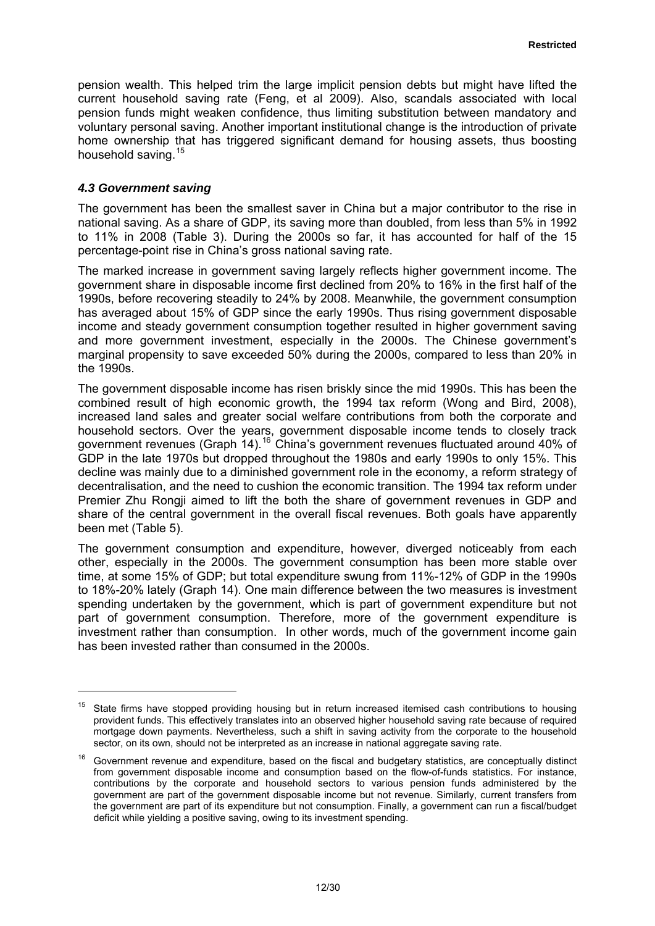pension wealth. This helped trim the large implicit pension debts but might have lifted the current household saving rate (Feng, et al 2009). Also, scandals associated with local pension funds might weaken confidence, thus limiting substitution between mandatory and voluntary personal saving. Another important institutional change is the introduction of private home ownership that has triggered significant demand for housing assets, thus boosting household saving.<sup>[15](#page-11-0)</sup>

#### *4.3 Government saving*

-

The government has been the smallest saver in China but a major contributor to the rise in national saving. As a share of GDP, its saving more than doubled, from less than 5% in 1992 to 11% in 2008 (Table 3). During the 2000s so far, it has accounted for half of the 15 percentage-point rise in China's gross national saving rate.

The marked increase in government saving largely reflects higher government income. The government share in disposable income first declined from 20% to 16% in the first half of the 1990s, before recovering steadily to 24% by 2008. Meanwhile, the government consumption has averaged about 15% of GDP since the early 1990s. Thus rising government disposable income and steady government consumption together resulted in higher government saving and more government investment, especially in the 2000s. The Chinese government's marginal propensity to save exceeded 50% during the 2000s, compared to less than 20% in the 1990s.

The government disposable income has risen briskly since the mid 1990s. This has been the combined result of high economic growth, the 1994 tax reform (Wong and Bird, 2008), increased land sales and greater social welfare contributions from both the corporate and household sectors. Over the years, government disposable income tends to closely track government revenues (Graph 14).<sup>[16](#page-11-1)</sup> China's government revenues fluctuated around 40% of GDP in the late 1970s but dropped throughout the 1980s and early 1990s to only 15%. This decline was mainly due to a diminished government role in the economy, a reform strategy of decentralisation, and the need to cushion the economic transition. The 1994 tax reform under Premier Zhu Rongji aimed to lift the both the share of government revenues in GDP and share of the central government in the overall fiscal revenues. Both goals have apparently been met (Table 5).

The government consumption and expenditure, however, diverged noticeably from each other, especially in the 2000s. The government consumption has been more stable over time, at some 15% of GDP; but total expenditure swung from 11%-12% of GDP in the 1990s to 18%-20% lately (Graph 14). One main difference between the two measures is investment spending undertaken by the government, which is part of government expenditure but not part of government consumption. Therefore, more of the government expenditure is investment rather than consumption. In other words, much of the government income gain has been invested rather than consumed in the 2000s.

<span id="page-11-0"></span><sup>&</sup>lt;sup>15</sup> State firms have stopped providing housing but in return increased itemised cash contributions to housing provident funds. This effectively translates into an observed higher household saving rate because of required mortgage down payments. Nevertheless, such a shift in saving activity from the corporate to the household sector, on its own, should not be interpreted as an increase in national aggregate saving rate.

<span id="page-11-1"></span><sup>&</sup>lt;sup>16</sup> Government revenue and expenditure, based on the fiscal and budgetary statistics, are conceptually distinct from government disposable income and consumption based on the flow-of-funds statistics. For instance, contributions by the corporate and household sectors to various pension funds administered by the government are part of the government disposable income but not revenue. Similarly, current transfers from the government are part of its expenditure but not consumption. Finally, a government can run a fiscal/budget deficit while yielding a positive saving, owing to its investment spending.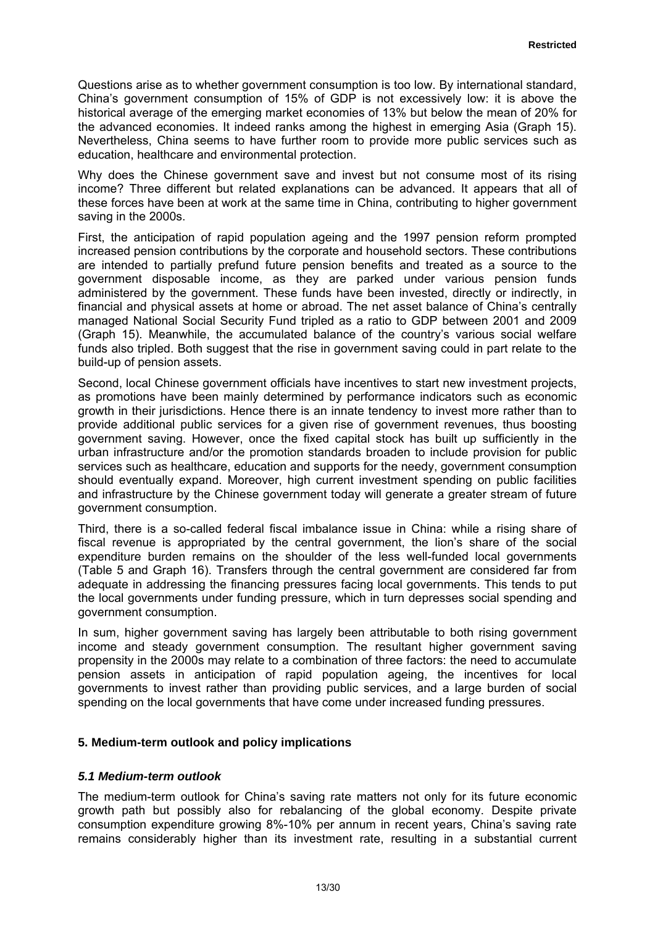Questions arise as to whether government consumption is too low. By international standard, China's government consumption of 15% of GDP is not excessively low: it is above the historical average of the emerging market economies of 13% but below the mean of 20% for the advanced economies. It indeed ranks among the highest in emerging Asia (Graph 15). Nevertheless, China seems to have further room to provide more public services such as education, healthcare and environmental protection.

Why does the Chinese government save and invest but not consume most of its rising income? Three different but related explanations can be advanced. It appears that all of these forces have been at work at the same time in China, contributing to higher government saving in the 2000s.

First, the anticipation of rapid population ageing and the 1997 pension reform prompted increased pension contributions by the corporate and household sectors. These contributions are intended to partially prefund future pension benefits and treated as a source to the government disposable income, as they are parked under various pension funds administered by the government. These funds have been invested, directly or indirectly, in financial and physical assets at home or abroad. The net asset balance of China's centrally managed National Social Security Fund tripled as a ratio to GDP between 2001 and 2009 (Graph 15). Meanwhile, the accumulated balance of the country's various social welfare funds also tripled. Both suggest that the rise in government saving could in part relate to the build-up of pension assets.

Second, local Chinese government officials have incentives to start new investment projects, as promotions have been mainly determined by performance indicators such as economic growth in their jurisdictions. Hence there is an innate tendency to invest more rather than to provide additional public services for a given rise of government revenues, thus boosting government saving. However, once the fixed capital stock has built up sufficiently in the urban infrastructure and/or the promotion standards broaden to include provision for public services such as healthcare, education and supports for the needy, government consumption should eventually expand. Moreover, high current investment spending on public facilities and infrastructure by the Chinese government today will generate a greater stream of future government consumption.

Third, there is a so-called federal fiscal imbalance issue in China: while a rising share of fiscal revenue is appropriated by the central government, the lion's share of the social expenditure burden remains on the shoulder of the less well-funded local governments (Table 5 and Graph 16). Transfers through the central government are considered far from adequate in addressing the financing pressures facing local governments. This tends to put the local governments under funding pressure, which in turn depresses social spending and government consumption.

In sum, higher government saving has largely been attributable to both rising government income and steady government consumption. The resultant higher government saving propensity in the 2000s may relate to a combination of three factors: the need to accumulate pension assets in anticipation of rapid population ageing, the incentives for local governments to invest rather than providing public services, and a large burden of social spending on the local governments that have come under increased funding pressures.

#### **5. Medium-term outlook and policy implications**

#### *5.1 Medium-term outlook*

The medium-term outlook for China's saving rate matters not only for its future economic growth path but possibly also for rebalancing of the global economy. Despite private consumption expenditure growing 8%-10% per annum in recent years, China's saving rate remains considerably higher than its investment rate, resulting in a substantial current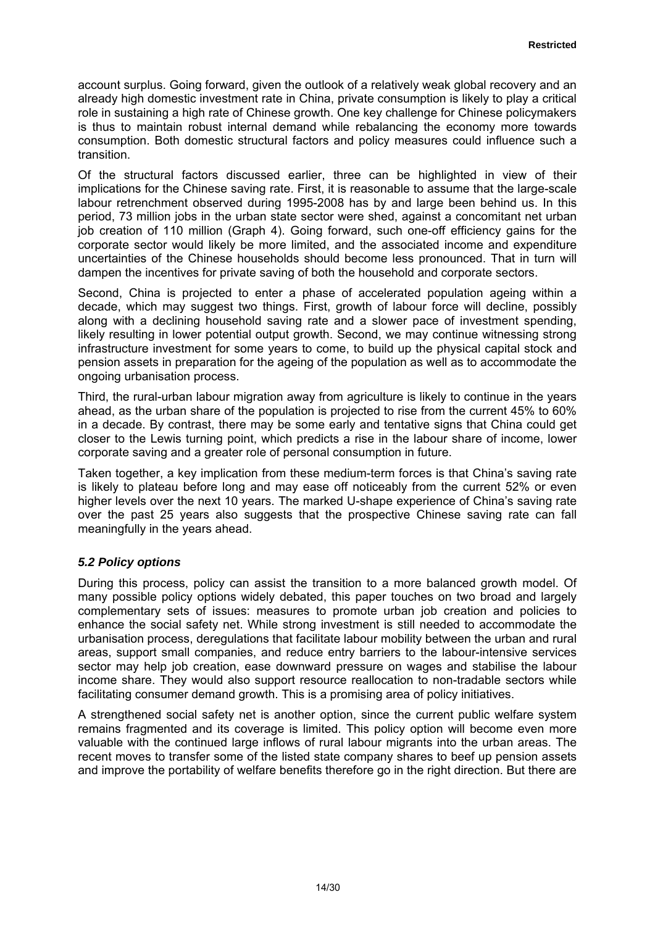account surplus. Going forward, given the outlook of a relatively weak global recovery and an already high domestic investment rate in China, private consumption is likely to play a critical role in sustaining a high rate of Chinese growth. One key challenge for Chinese policymakers is thus to maintain robust internal demand while rebalancing the economy more towards consumption. Both domestic structural factors and policy measures could influence such a transition.

Of the structural factors discussed earlier, three can be highlighted in view of their implications for the Chinese saving rate. First, it is reasonable to assume that the large-scale labour retrenchment observed during 1995-2008 has by and large been behind us. In this period, 73 million jobs in the urban state sector were shed, against a concomitant net urban job creation of 110 million (Graph 4). Going forward, such one-off efficiency gains for the corporate sector would likely be more limited, and the associated income and expenditure uncertainties of the Chinese households should become less pronounced. That in turn will dampen the incentives for private saving of both the household and corporate sectors.

Second, China is projected to enter a phase of accelerated population ageing within a decade, which may suggest two things. First, growth of labour force will decline, possibly along with a declining household saving rate and a slower pace of investment spending, likely resulting in lower potential output growth. Second, we may continue witnessing strong infrastructure investment for some years to come, to build up the physical capital stock and pension assets in preparation for the ageing of the population as well as to accommodate the ongoing urbanisation process.

Third, the rural-urban labour migration away from agriculture is likely to continue in the years ahead, as the urban share of the population is projected to rise from the current 45% to 60% in a decade. By contrast, there may be some early and tentative signs that China could get closer to the Lewis turning point, which predicts a rise in the labour share of income, lower corporate saving and a greater role of personal consumption in future.

Taken together, a key implication from these medium-term forces is that China's saving rate is likely to plateau before long and may ease off noticeably from the current 52% or even higher levels over the next 10 years. The marked U-shape experience of China's saving rate over the past 25 years also suggests that the prospective Chinese saving rate can fall meaningfully in the years ahead.

#### *5.2 Policy options*

During this process, policy can assist the transition to a more balanced growth model. Of many possible policy options widely debated, this paper touches on two broad and largely complementary sets of issues: measures to promote urban job creation and policies to enhance the social safety net. While strong investment is still needed to accommodate the urbanisation process, deregulations that facilitate labour mobility between the urban and rural areas, support small companies, and reduce entry barriers to the labour-intensive services sector may help job creation, ease downward pressure on wages and stabilise the labour income share. They would also support resource reallocation to non-tradable sectors while facilitating consumer demand growth. This is a promising area of policy initiatives.

A strengthened social safety net is another option, since the current public welfare system remains fragmented and its coverage is limited. This policy option will become even more valuable with the continued large inflows of rural labour migrants into the urban areas. The recent moves to transfer some of the listed state company shares to beef up pension assets and improve the portability of welfare benefits therefore go in the right direction. But there are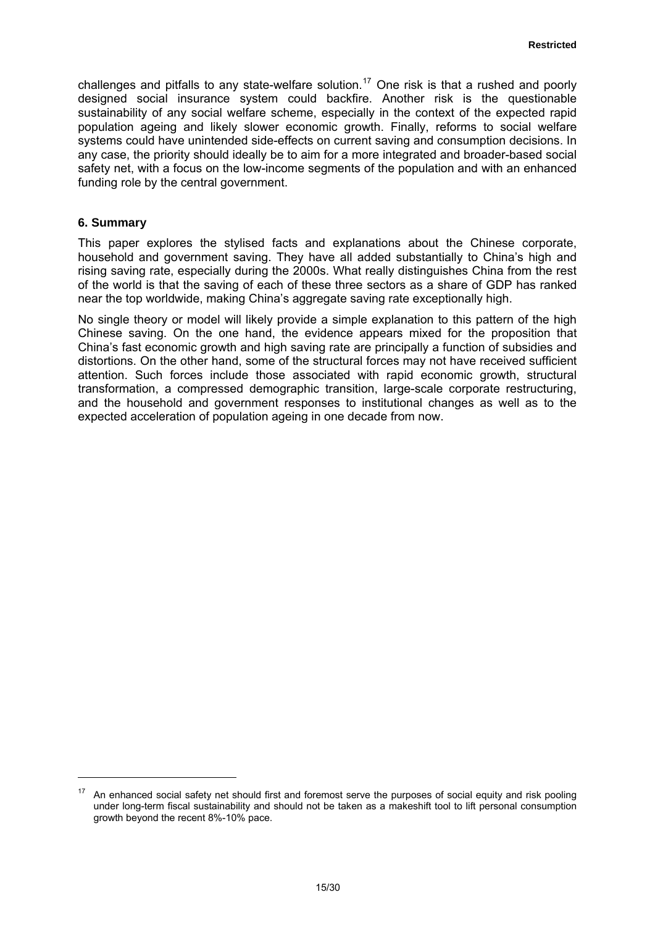challenges and pitfalls to any state-welfare solution.<sup>[17](#page-14-0)</sup> One risk is that a rushed and poorly designed social insurance system could backfire. Another risk is the questionable sustainability of any social welfare scheme, especially in the context of the expected rapid population ageing and likely slower economic growth. Finally, reforms to social welfare systems could have unintended side-effects on current saving and consumption decisions. In any case, the priority should ideally be to aim for a more integrated and broader-based social safety net, with a focus on the low-income segments of the population and with an enhanced funding role by the central government.

#### **6. Summary**

-

This paper explores the stylised facts and explanations about the Chinese corporate, household and government saving. They have all added substantially to China's high and rising saving rate, especially during the 2000s. What really distinguishes China from the rest of the world is that the saving of each of these three sectors as a share of GDP has ranked near the top worldwide, making China's aggregate saving rate exceptionally high.

No single theory or model will likely provide a simple explanation to this pattern of the high Chinese saving. On the one hand, the evidence appears mixed for the proposition that China's fast economic growth and high saving rate are principally a function of subsidies and distortions. On the other hand, some of the structural forces may not have received sufficient attention. Such forces include those associated with rapid economic growth, structural transformation, a compressed demographic transition, large-scale corporate restructuring, and the household and government responses to institutional changes as well as to the expected acceleration of population ageing in one decade from now.

<span id="page-14-0"></span>An enhanced social safety net should first and foremost serve the purposes of social equity and risk pooling under long-term fiscal sustainability and should not be taken as a makeshift tool to lift personal consumption growth beyond the recent 8%-10% pace.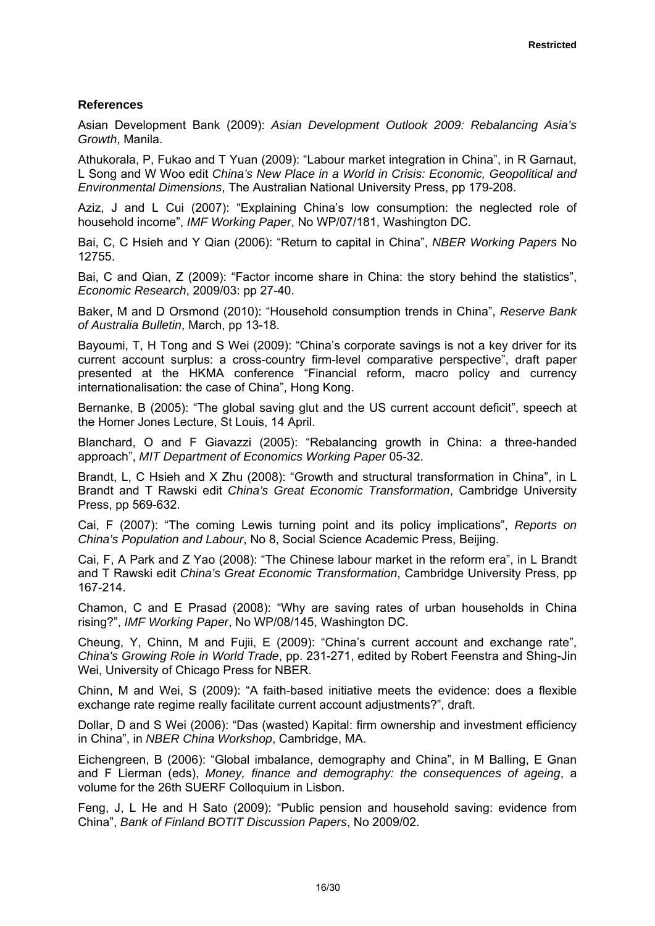#### **References**

Asian Development Bank (2009): *Asian Development Outlook 2009: Rebalancing Asia's Growth*, Manila.

Athukorala, P, Fukao and T Yuan (2009): "Labour market integration in China", in R Garnaut, L Song and W Woo edit *China's New Place in a World in Crisis: Economic, Geopolitical and Environmental Dimensions*, The Australian National University Press, pp 179-208.

Aziz, J and L Cui (2007): "Explaining China's low consumption: the neglected role of household income", *IMF Working Paper*, No WP/07/181, Washington DC.

Bai, C, C Hsieh and Y Qian (2006): "Return to capital in China", *NBER Working Papers* No 12755.

Bai, C and Qian, Z (2009): "Factor income share in China: the story behind the statistics", *Economic Research*, 2009/03: pp 27-40.

Baker, M and D Orsmond (2010): "Household consumption trends in China", *Reserve Bank of Australia Bulletin*, March, pp 13-18.

Bayoumi, T, H Tong and S Wei (2009): "China's corporate savings is not a key driver for its current account surplus: a cross-country firm-level comparative perspective", draft paper presented at the HKMA conference "Financial reform, macro policy and currency internationalisation: the case of China", Hong Kong.

Bernanke, B (2005): "The global saving glut and the US current account deficit", speech at the Homer Jones Lecture, St Louis, 14 April.

Blanchard, O and F Giavazzi (2005): "Rebalancing growth in China: a three-handed approach", *MIT Department of Economics Working Paper* 05-32.

Brandt, L, C Hsieh and X Zhu (2008): "Growth and structural transformation in China", in L Brandt and T Rawski edit *China's Great Economic Transformation*, Cambridge University Press, pp 569-632.

Cai, F (2007): "The coming Lewis turning point and its policy implications", *Reports on China's Population and Labour*, No 8, Social Science Academic Press, Beijing.

Cai, F, A Park and Z Yao (2008): "The Chinese labour market in the reform era", in L Brandt and T Rawski edit *China's Great Economic Transformation*, Cambridge University Press, pp 167-214.

Chamon, C and E Prasad (2008): "Why are saving rates of urban households in China rising?", *IMF Working Paper*, No WP/08/145, Washington DC.

Cheung, Y, Chinn, M and Fujii, E (2009): "China's current account and exchange rate", *China's Growing Role in World Trade*, pp. 231-271, edited by Robert Feenstra and Shing-Jin Wei, University of Chicago Press for NBER.

Chinn, M and Wei, S (2009): "A faith-based initiative meets the evidence: does a flexible exchange rate regime really facilitate current account adjustments?", draft.

Dollar, D and S Wei (2006): "Das (wasted) Kapital: firm ownership and investment efficiency in China", in *NBER China Workshop*, Cambridge, MA.

Eichengreen, B (2006): "Global imbalance, demography and China", in M Balling, E Gnan and F Lierman (eds), *Money, finance and demography: the consequences of ageing*, a volume for the 26th SUERF Colloquium in Lisbon.

Feng, J, L He and H Sato (2009): "Public pension and household saving: evidence from China", *Bank of Finland BOTIT Discussion Papers*, No 2009/02.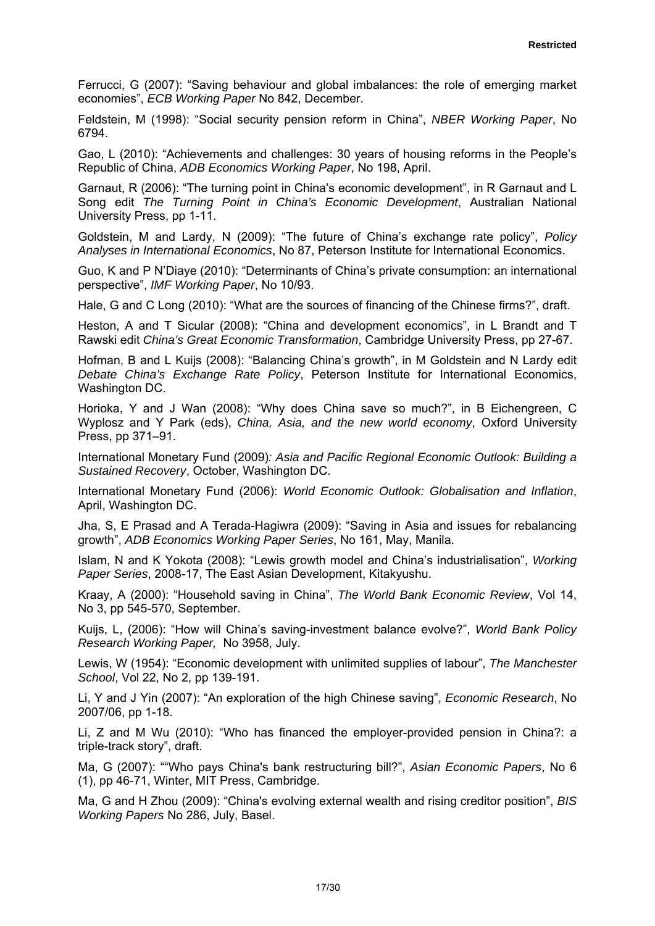Ferrucci, G (2007): "Saving behaviour and global imbalances: the role of emerging market economies", *ECB Working Paper* No 842, December.

Feldstein, M (1998): "Social security pension reform in China", *NBER Working Paper*, No 6794.

Gao, L (2010): "Achievements and challenges: 30 years of housing reforms in the People's Republic of China, *ADB Economics Working Paper*, No 198, April.

Garnaut, R (2006): "The turning point in China's economic development", in R Garnaut and L Song edit *The Turning Point in China's Economic Development*, Australian National University Press, pp 1-11.

Goldstein, M and Lardy, N (2009): "The future of China's exchange rate policy", *Policy Analyses in International Economics*, No 87, Peterson Institute for International Economics.

Guo, K and P N'Diaye (2010): "Determinants of China's private consumption: an international perspective", *IMF Working Paper*, No 10/93.

Hale, G and C Long (2010): "What are the sources of financing of the Chinese firms?", draft.

Heston, A and T Sicular (2008): "China and development economics", in L Brandt and T Rawski edit *China's Great Economic Transformation*, Cambridge University Press, pp 27-67.

Hofman, B and L Kuijs (2008): "Balancing China's growth", in M Goldstein and N Lardy edit *Debate China's Exchange Rate Policy*, Peterson Institute for International Economics, Washington DC.

Horioka, Y and J Wan (2008): "Why does China save so much?", in B Eichengreen, C Wyplosz and Y Park (eds), *China, Asia, and the new world economy*, Oxford University Press, pp 371–91.

International Monetary Fund (2009)*: Asia and Pacific Regional Economic Outlook: Building a Sustained Recovery*, October, Washington DC.

International Monetary Fund (2006): *World Economic Outlook: Globalisation and Inflation*, April, Washington DC.

Jha, S, E Prasad and A Terada-Hagiwra (2009): "Saving in Asia and issues for rebalancing growth", *ADB Economics Working Paper Series*, No 161, May, Manila.

Islam, N and K Yokota (2008): "Lewis growth model and China's industrialisation", *Working Paper Series*, 2008-17, The East Asian Development, Kitakyushu.

Kraay, A (2000): "Household saving in China", *The World Bank Economic Review*, Vol 14, No 3, pp 545-570, September.

Kuijs, L, (2006): "How will China's saving-investment balance evolve?", *World Bank Policy Research Working Paper,* No 3958, July.

Lewis, W (1954): "Economic development with unlimited supplies of labour", *The Manchester School*, Vol 22, No 2, pp 139-191.

Li, Y and J Yin (2007): "An exploration of the high Chinese saving", *Economic Research*, No 2007/06, pp 1-18.

Li, Z and M Wu (2010): "Who has financed the employer-provided pension in China?: a triple-track story", draft.

Ma, G (2007): ""Who pays China's bank restructuring bill?", *Asian Economic Papers*, No 6 (1), pp 46-71, Winter, MIT Press, Cambridge.

Ma, G and H Zhou (2009): "China's evolving external wealth and rising creditor position", *BIS Working Papers* No 286, July, Basel.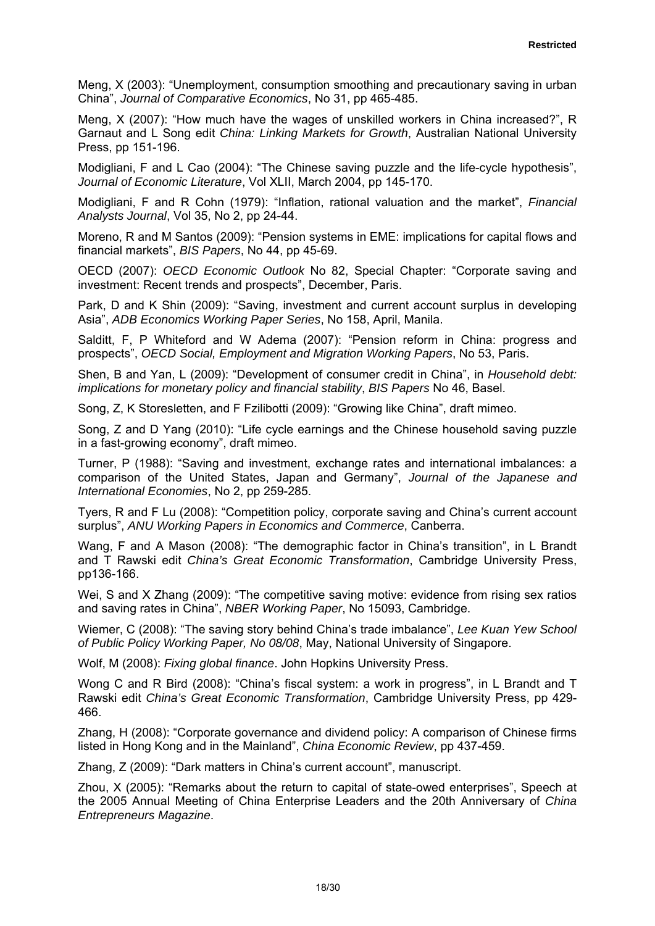Meng, X (2003): "Unemployment, consumption smoothing and precautionary saving in urban China", *Journal of Comparative Economics*, No 31, pp 465-485.

Meng, X (2007): "How much have the wages of unskilled workers in China increased?", R Garnaut and L Song edit *China: Linking Markets for Growth*, Australian National University Press, pp 151-196.

Modigliani, F and L Cao (2004): "The Chinese saving puzzle and the life-cycle hypothesis", *Journal of Economic Literature*, Vol XLII, March 2004, pp 145-170.

Modigliani, F and R Cohn (1979): "Inflation, rational valuation and the market", *Financial Analysts Journal*, Vol 35, No 2, pp 24-44.

Moreno, R and M Santos (2009): "Pension systems in EME: implications for capital flows and financial markets", *BIS Papers*, No 44, pp 45-69.

OECD (2007): *OECD Economic Outlook* No 82, Special Chapter: "Corporate saving and investment: Recent trends and prospects", December, Paris.

Park, D and K Shin (2009): "Saving, investment and current account surplus in developing Asia", *ADB Economics Working Paper Series*, No 158, April, Manila.

Salditt, F, P Whiteford and W Adema (2007): "Pension reform in China: progress and prospects", *OECD Social, Employment and Migration Working Papers*, No 53, Paris.

Shen, B and Yan, L (2009): "Development of consumer credit in China", in *Household debt: implications for monetary policy and financial stability*, *BIS Papers* No 46, Basel.

Song, Z, K Storesletten, and F Fzilibotti (2009): "Growing like China", draft mimeo.

Song, Z and D Yang (2010): "Life cycle earnings and the Chinese household saving puzzle in a fast-growing economy", draft mimeo.

Turner, P (1988): "Saving and investment, exchange rates and international imbalances: a comparison of the United States, Japan and Germany", *Journal of the Japanese and International Economies*, No 2, pp 259-285.

Tyers, R and F Lu (2008): "Competition policy, corporate saving and China's current account surplus", *ANU Working Papers in Economics and Commerce*, Canberra.

Wang, F and A Mason (2008): "The demographic factor in China's transition", in L Brandt and T Rawski edit *China's Great Economic Transformation*, Cambridge University Press, pp136-166.

Wei, S and X Zhang (2009): "The competitive saving motive: evidence from rising sex ratios and saving rates in China", *NBER Working Paper*, No 15093, Cambridge.

Wiemer, C (2008): "The saving story behind China's trade imbalance", *Lee Kuan Yew School of Public Policy Working Paper, No 08/08*, May, National University of Singapore.

Wolf, M (2008): *Fixing global finance*. John Hopkins University Press.

Wong C and R Bird (2008): "China's fiscal system: a work in progress", in L Brandt and T Rawski edit *China's Great Economic Transformation*, Cambridge University Press, pp 429- 466.

Zhang, H (2008): "Corporate governance and dividend policy: A comparison of Chinese firms listed in Hong Kong and in the Mainland", *China Economic Review*, pp 437-459.

Zhang, Z (2009): "Dark matters in China's current account", manuscript.

Zhou, X (2005): "Remarks about the return to capital of state-owed enterprises", Speech at the 2005 Annual Meeting of China Enterprise Leaders and the 20th Anniversary of *China Entrepreneurs Magazine*.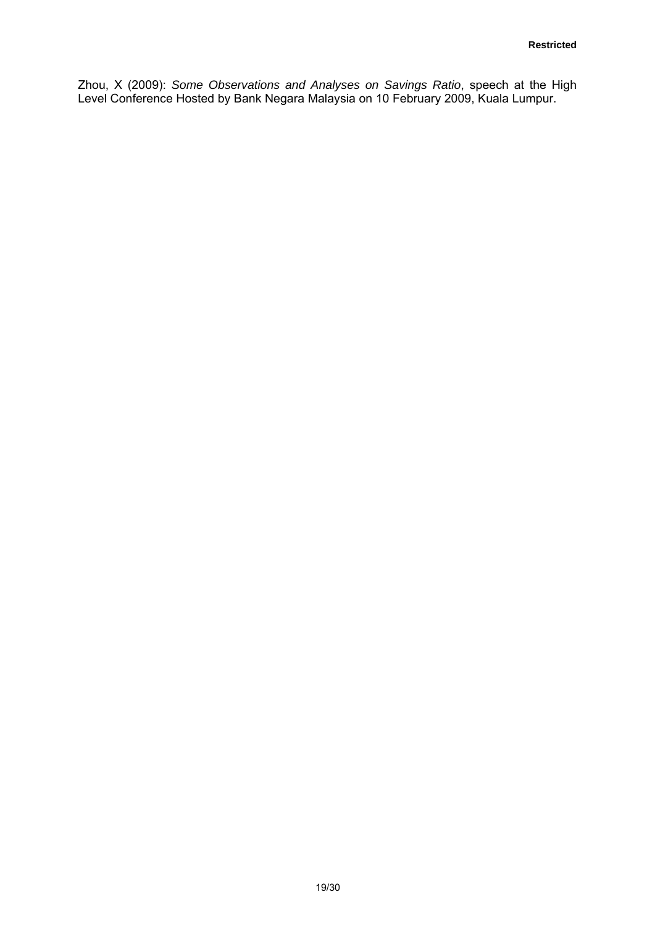Zhou, X (2009): *Some Observations and Analyses on Savings Ratio*, speech at the High Level Conference Hosted by Bank Negara Malaysia on 10 February 2009, Kuala Lumpur.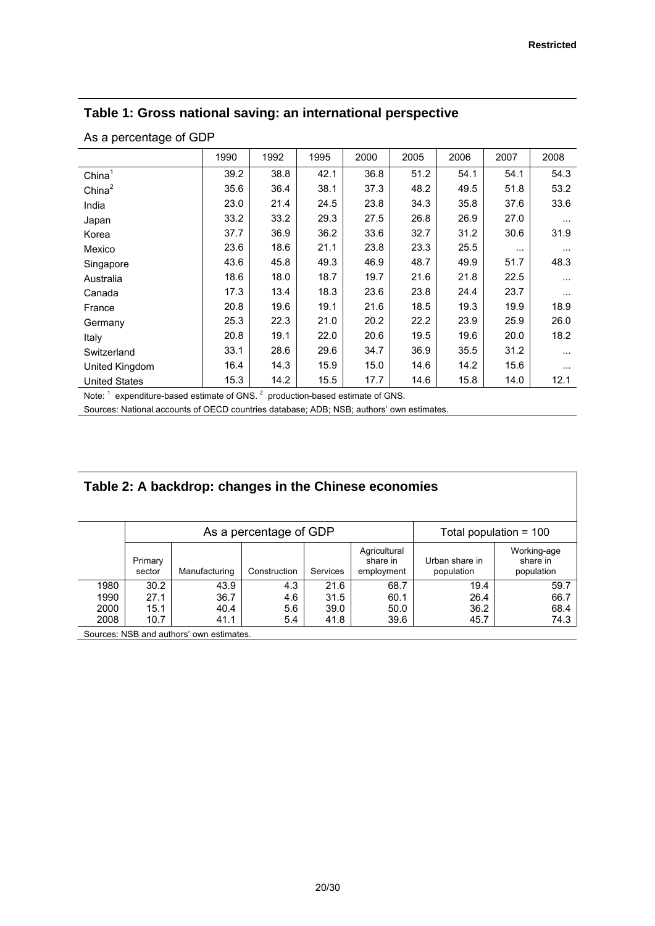## **Table 1: Gross national saving: an international perspective**

|                      | 1990 | 1992 | 1995 | 2000 | 2005 | 2006 | 2007     | 2008      |  |
|----------------------|------|------|------|------|------|------|----------|-----------|--|
| China <sup>1</sup>   | 39.2 | 38.8 | 42.1 | 36.8 | 51.2 | 54.1 | 54.1     | 54.3      |  |
| China <sup>2</sup>   | 35.6 | 36.4 | 38.1 | 37.3 | 48.2 | 49.5 | 51.8     | 53.2      |  |
| India                | 23.0 | 21.4 | 24.5 | 23.8 | 34.3 | 35.8 | 37.6     | 33.6      |  |
| Japan                | 33.2 | 33.2 | 29.3 | 27.5 | 26.8 | 26.9 | 27.0     | $\cdots$  |  |
| Korea                | 37.7 | 36.9 | 36.2 | 33.6 | 32.7 | 31.2 | 30.6     | 31.9      |  |
| Mexico               | 23.6 | 18.6 | 21.1 | 23.8 | 23.3 | 25.5 | $\cdots$ | $\ddotsc$ |  |
| Singapore            | 43.6 | 45.8 | 49.3 | 46.9 | 48.7 | 49.9 | 51.7     | 48.3      |  |
| Australia            | 18.6 | 18.0 | 18.7 | 19.7 | 21.6 | 21.8 | 22.5     | $\cdots$  |  |
| Canada               | 17.3 | 13.4 | 18.3 | 23.6 | 23.8 | 24.4 | 23.7     | $\cdots$  |  |
| France               | 20.8 | 19.6 | 19.1 | 21.6 | 18.5 | 19.3 | 19.9     | 18.9      |  |
| Germany              | 25.3 | 22.3 | 21.0 | 20.2 | 22.2 | 23.9 | 25.9     | 26.0      |  |
| Italy                | 20.8 | 19.1 | 22.0 | 20.6 | 19.5 | 19.6 | 20.0     | 18.2      |  |
| Switzerland          | 33.1 | 28.6 | 29.6 | 34.7 | 36.9 | 35.5 | 31.2     | $\cdots$  |  |
| United Kingdom       | 16.4 | 14.3 | 15.9 | 15.0 | 14.6 | 14.2 | 15.6     |           |  |
| <b>United States</b> | 15.3 | 14.2 | 15.5 | 17.7 | 14.6 | 15.8 | 14.0     | 12.1      |  |
|                      |      |      |      |      |      |      |          |           |  |

As a percentage of GDP

Note:  $1$  expenditure-based estimate of GNS.  $2$  production-based estimate of GNS.

Sources: National accounts of OECD countries database; ADB; NSB; authors' own estimates.

## **Table 2: A backdrop: changes in the Chinese economies**

|      |                   | As a percentage of GDP | Total population = $100$ |          |                                        |                              |                                       |
|------|-------------------|------------------------|--------------------------|----------|----------------------------------------|------------------------------|---------------------------------------|
|      | Primary<br>sector | Manufacturing          | Construction             | Services | Agricultural<br>share in<br>employment | Urban share in<br>population | Working-age<br>share in<br>population |
| 1980 | 30.2              | 43.9                   | 4.3                      | 21.6     | 68.7                                   | 19.4                         | 59.7                                  |
| 1990 | 27.1              | 36.7                   | 4.6                      | 31.5     | 60.1                                   | 26.4                         | 66.7                                  |
| 2000 | 15.1              | 40.4                   | 5.6                      | 39.0     | 50.0                                   | 36.2                         | 68.4                                  |
| 2008 | 10.7              | 41.1                   | 5.4                      | 41.8     | 39.6                                   | 45.7                         | 74.3                                  |

Sources: NSB and authors' own estimates.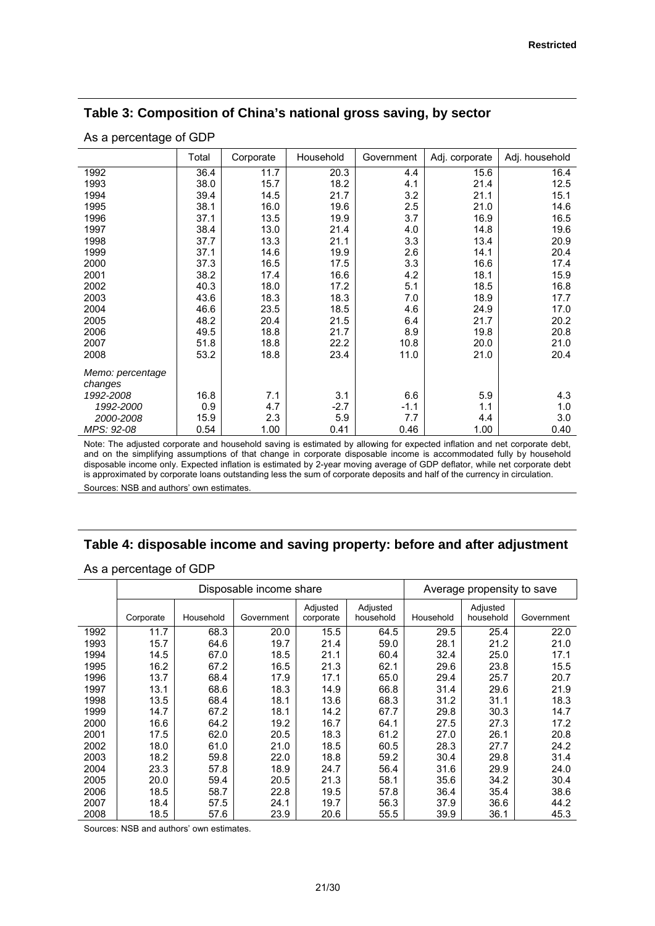## **Table 3: Composition of China's national gross saving, by sector**

|                  | Total | Corporate | Household | Government | Adj. corporate | Adj. household |
|------------------|-------|-----------|-----------|------------|----------------|----------------|
| 1992             | 36.4  | 11.7      | 20.3      | 4.4        | 15.6           | 16.4           |
| 1993             | 38.0  | 15.7      | 18.2      | 4.1        | 21.4           | 12.5           |
| 1994             | 39.4  | 14.5      | 21.7      | 3.2        | 21.1           | 15.1           |
| 1995             | 38.1  | 16.0      | 19.6      | 2.5        | 21.0           | 14.6           |
| 1996             | 37.1  | 13.5      | 19.9      | 3.7        | 16.9           | 16.5           |
| 1997             | 38.4  | 13.0      | 21.4      | 4.0        | 14.8           | 19.6           |
| 1998             | 37.7  | 13.3      | 21.1      | 3.3        | 13.4           | 20.9           |
| 1999             | 37.1  | 14.6      | 19.9      | 2.6        | 14.1           | 20.4           |
| 2000             | 37.3  | 16.5      | 17.5      | 3.3        | 16.6           | 17.4           |
| 2001             | 38.2  | 17.4      | 16.6      | 4.2        | 18.1           | 15.9           |
| 2002             | 40.3  | 18.0      | 17.2      | 5.1        | 18.5           | 16.8           |
| 2003             | 43.6  | 18.3      | 18.3      | 7.0        | 18.9           | 17.7           |
| 2004             | 46.6  | 23.5      | 18.5      | 4.6        | 24.9           | 17.0           |
| 2005             | 48.2  | 20.4      | 21.5      | 6.4        | 21.7           | 20.2           |
| 2006             | 49.5  | 18.8      | 21.7      | 8.9        | 19.8           | 20.8           |
| 2007             | 51.8  | 18.8      | 22.2      | 10.8       | 20.0           | 21.0           |
| 2008             | 53.2  | 18.8      | 23.4      | 11.0       | 21.0           | 20.4           |
| Memo: percentage |       |           |           |            |                |                |
| changes          |       |           |           |            |                |                |
| 1992-2008        | 16.8  | 7.1       | 3.1       | 6.6        | 5.9            | 4.3            |
| 1992-2000        | 0.9   | 4.7       | $-2.7$    | $-1.1$     | 1.1            | 1.0            |
| 2000-2008        | 15.9  | 2.3       | 5.9       | 7.7        | 4.4            | 3.0            |
| MPS: 92-08       | 0.54  | 1.00      | 0.41      | 0.46       | 1.00           | 0.40           |
|                  |       |           |           |            |                |                |

As a percentage of GDP

Note: The adjusted corporate and household saving is estimated by allowing for expected inflation and net corporate debt, and on the simplifying assumptions of that change in corporate disposable income is accommodated fully by household disposable income only. Expected inflation is estimated by 2-year moving average of GDP deflator, while net corporate debt is approximated by corporate loans outstanding less the sum of corporate deposits and half of the currency in circulation. Sources: NSB and authors' own estimates.

## **Table 4: disposable income and saving property: before and after adjustment**

|      |           | Disposable income share | Average propensity to save |                       |                       |           |                       |            |
|------|-----------|-------------------------|----------------------------|-----------------------|-----------------------|-----------|-----------------------|------------|
|      | Corporate | Household               | Government                 | Adjusted<br>corporate | Adjusted<br>household | Household | Adjusted<br>household | Government |
| 1992 | 11.7      | 68.3                    | 20.0                       | 15.5                  | 64.5                  | 29.5      | 25.4                  | 22.0       |
| 1993 | 15.7      | 64.6                    | 19.7                       | 21.4                  | 59.0                  | 28.1      | 21.2                  | 21.0       |
| 1994 | 14.5      | 67.0                    | 18.5                       | 21.1                  | 60.4                  | 32.4      | 25.0                  | 17.1       |
| 1995 | 16.2      | 67.2                    | 16.5                       | 21.3                  | 62.1                  | 29.6      | 23.8                  | 15.5       |
| 1996 | 13.7      | 68.4                    | 17.9                       | 17.1                  | 65.0                  | 29.4      | 25.7                  | 20.7       |
| 1997 | 13.1      | 68.6                    | 18.3                       | 14.9                  | 66.8                  | 31.4      | 29.6                  | 21.9       |
| 1998 | 13.5      | 68.4                    | 18.1                       | 13.6                  | 68.3                  | 31.2      | 31.1                  | 18.3       |
| 1999 | 14.7      | 67.2                    | 18.1                       | 14.2                  | 67.7                  | 29.8      | 30.3                  | 14.7       |
| 2000 | 16.6      | 64.2                    | 19.2                       | 16.7                  | 64.1                  | 27.5      | 27.3                  | 17.2       |
| 2001 | 17.5      | 62.0                    | 20.5                       | 18.3                  | 61.2                  | 27.0      | 26.1                  | 20.8       |
| 2002 | 18.0      | 61.0                    | 21.0                       | 18.5                  | 60.5                  | 28.3      | 27.7                  | 24.2       |
| 2003 | 18.2      | 59.8                    | 22.0                       | 18.8                  | 59.2                  | 30.4      | 29.8                  | 31.4       |
| 2004 | 23.3      | 57.8                    | 18.9                       | 24.7                  | 56.4                  | 31.6      | 29.9                  | 24.0       |
| 2005 | 20.0      | 59.4                    | 20.5                       | 21.3                  | 58.1                  | 35.6      | 34.2                  | 30.4       |
| 2006 | 18.5      | 58.7                    | 22.8                       | 19.5                  | 57.8                  | 36.4      | 35.4                  | 38.6       |
| 2007 | 18.4      | 57.5                    | 24.1                       | 19.7                  | 56.3                  | 37.9      | 36.6                  | 44.2       |
| 2008 | 18.5      | 57.6                    | 23.9                       | 20.6                  | 55.5                  | 39.9      | 36.1                  | 45.3       |

As a percentage of GDP

Sources: NSB and authors' own estimates.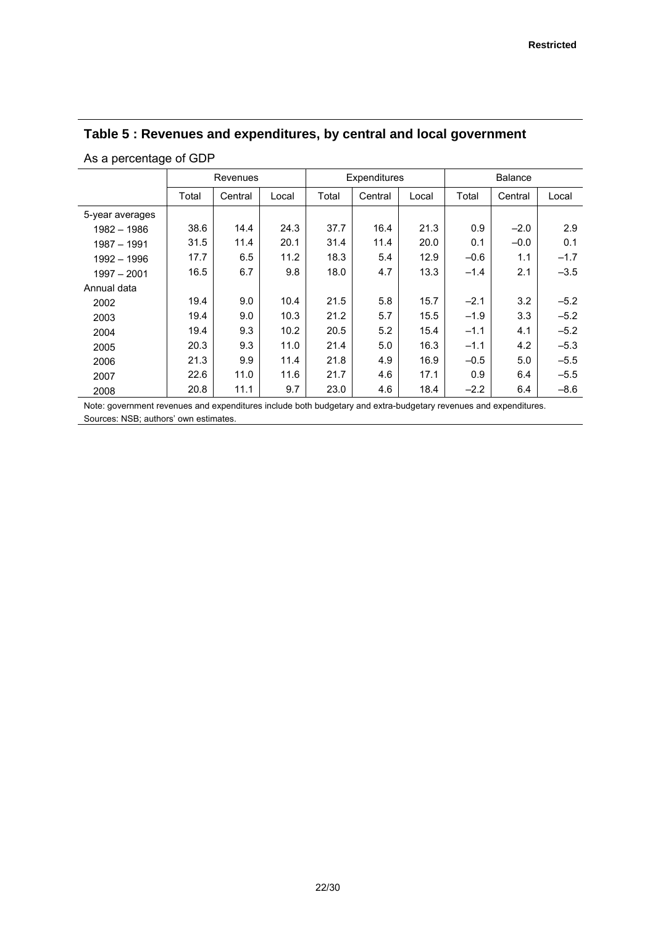|                 | Revenues |         |       | Expenditures |         |       | <b>Balance</b> |         |        |
|-----------------|----------|---------|-------|--------------|---------|-------|----------------|---------|--------|
|                 | Total    | Central | Local | Total        | Central | Local | Total          | Central | Local  |
| 5-year averages |          |         |       |              |         |       |                |         |        |
| 1982 - 1986     | 38.6     | 14.4    | 24.3  | 37.7         | 16.4    | 21.3  | 0.9            | $-2.0$  | 2.9    |
| 1987 - 1991     | 31.5     | 11.4    | 20.1  | 31.4         | 11.4    | 20.0  | 0.1            | $-0.0$  | 0.1    |
| 1992 - 1996     | 17.7     | 6.5     | 11.2  | 18.3         | 5.4     | 12.9  | $-0.6$         | 1.1     | $-1.7$ |
| $1997 - 2001$   | 16.5     | 6.7     | 9.8   | 18.0         | 4.7     | 13.3  | $-1.4$         | 2.1     | $-3.5$ |
| Annual data     |          |         |       |              |         |       |                |         |        |
| 2002            | 19.4     | 9.0     | 10.4  | 21.5         | 5.8     | 15.7  | $-2.1$         | 3.2     | $-5.2$ |
| 2003            | 19.4     | 9.0     | 10.3  | 21.2         | 5.7     | 15.5  | $-1.9$         | 3.3     | $-5.2$ |
| 2004            | 19.4     | 9.3     | 10.2  | 20.5         | 5.2     | 15.4  | $-1.1$         | 4.1     | $-5.2$ |
| 2005            | 20.3     | 9.3     | 11.0  | 21.4         | 5.0     | 16.3  | $-1.1$         | 4.2     | $-5.3$ |
| 2006            | 21.3     | 9.9     | 11.4  | 21.8         | 4.9     | 16.9  | $-0.5$         | 5.0     | $-5.5$ |
| 2007            | 22.6     | 11.0    | 11.6  | 21.7         | 4.6     | 17.1  | 0.9            | 6.4     | $-5.5$ |
| 2008            | 20.8     | 11.1    | 9.7   | 23.0         | 4.6     | 18.4  | $-2.2$         | 6.4     | $-8.6$ |

## **Table 5 : Revenues and expenditures, by central and local government**

As a percentage of GDP

Note: government revenues and expenditures include both budgetary and extra-budgetary revenues and expenditures. Sources: NSB; authors' own estimates.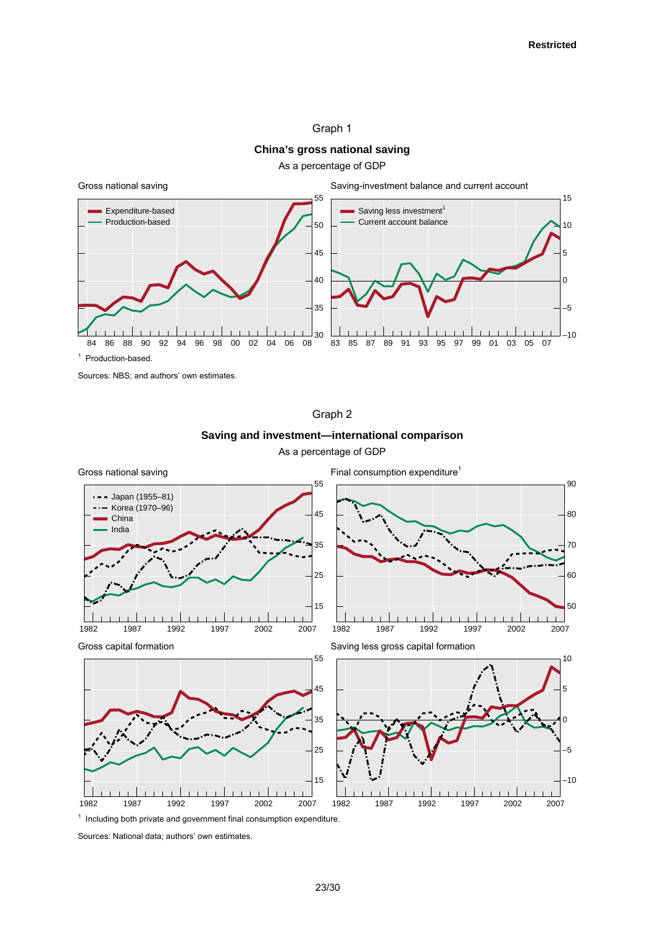#### **China's gross national saving**

As a percentage of GDP



Sources: NBS; and authors' own estimates.



**Saving and investment—international comparison** 

Graph 2

Sources: National data; authors' own estimates.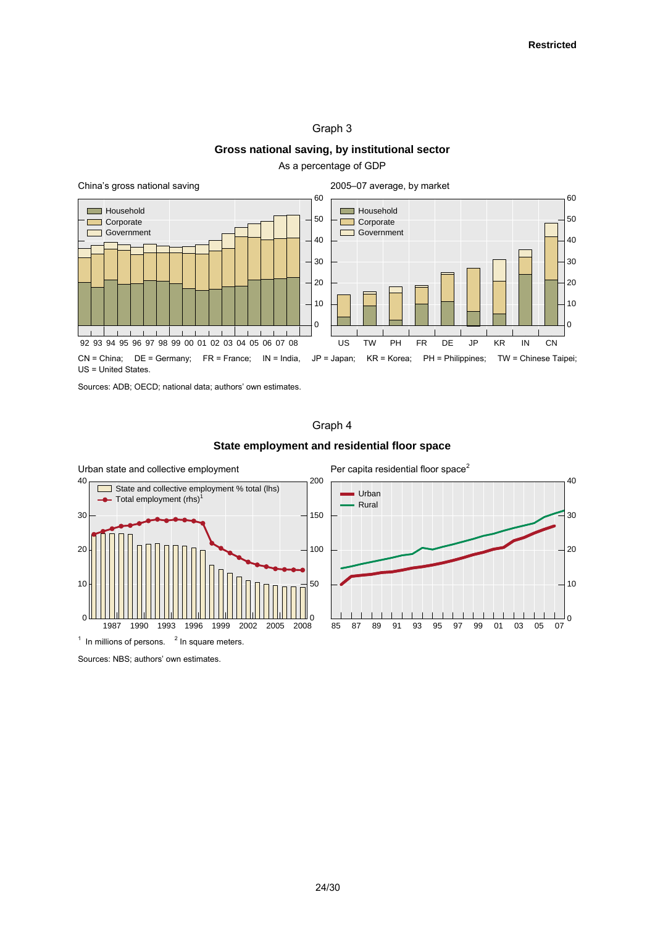

#### **Gross national saving, by institutional sector**

As a percentage of GDP

Sources: ADB; OECD; national data; authors' own estimates.

#### Graph 4



#### **State employment and residential floor space**



Sources: NBS; authors' own estimates.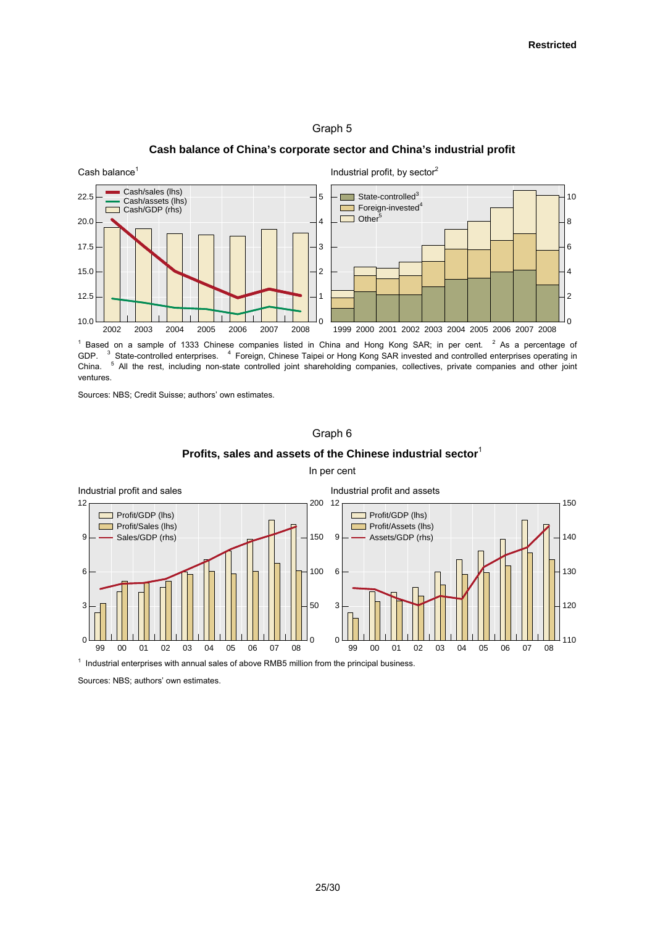#### Cash balance<sup>1</sup>  $\qquad \qquad$  Industrial profit, by sector<sup>2</sup> Cash/sales (lhs) 5 22.5 State-controlled<sup>3</sup> 10 Cash/assets (lhs)  $\blacksquare$  Foreign-invested<sup>4</sup> □ Cash/GDP (rhs) Г  $\overline{1}$  $\Box$  Other $^5$ 20.0 4 8 17.5 3 6 15.0 2 4 12.5 1 2 10.0  $\overline{0}$  $\overline{0}$ 1999 2000 2001 2002 2003 2004 2005 2006 2007 2008 2002 2003 2004 2005 2006 2007 2008

#### **Cash balance of China's corporate sector and China's industrial profit**

<sup>1</sup> Based on a sample of 1333 Chinese companies listed in China and Hong Kong SAR; in per cent. <sup>2</sup> As a percentage of GDP. <sup>3</sup> State-controlled enterprises. <sup>4</sup> Foreign, Chinese Taipei or Hong Kong SAR invested and controlled enterprises operating in China. <sup>5</sup> All the rest, including non-state controlled joint shareholding companies, collectives, private companies and other joint ventures.

Sources: NBS; Credit Suisse; authors' own estimates.

#### Graph 6



99 00 01 02 03 04 05 06 07 08

#### **Profits, sales and assets of the Chinese industrial sector**<sup>1</sup>

Sources: NBS; authors' own estimates.

99 00 01 02 03 04 05 06 07 08

 $1$  Industrial enterprises with annual sales of above RMB5 million from the principal business.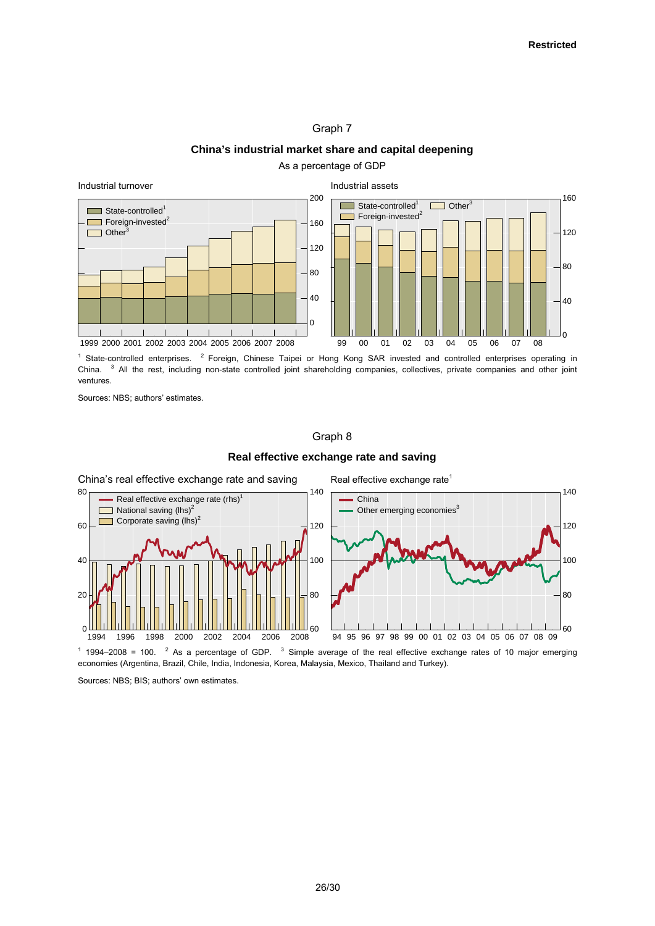#### **China's industrial market share and capital deepening**  As a percentage of GDP



<sup>1</sup> State-controlled enterprises. <sup>2</sup> Foreign, Chinese Taipei or Hong Kong SAR invested and controlled enterprises operating in China. <sup>3</sup> All the rest, including non-state controlled joint shareholding companies, collectives, private companies and other joint ventures.

Sources: NBS; authors' estimates.

#### Graph 8





 $1$  1994–2008 = 100. <sup>2</sup> As a percentage of GDP.  $3$  Simple average of the real effective exchange rates of 10 major emerging economies (Argentina, Brazil, Chile, India, Indonesia, Korea, Malaysia, Mexico, Thailand and Turkey).

Sources: NBS; BIS; authors' own estimates.

26/30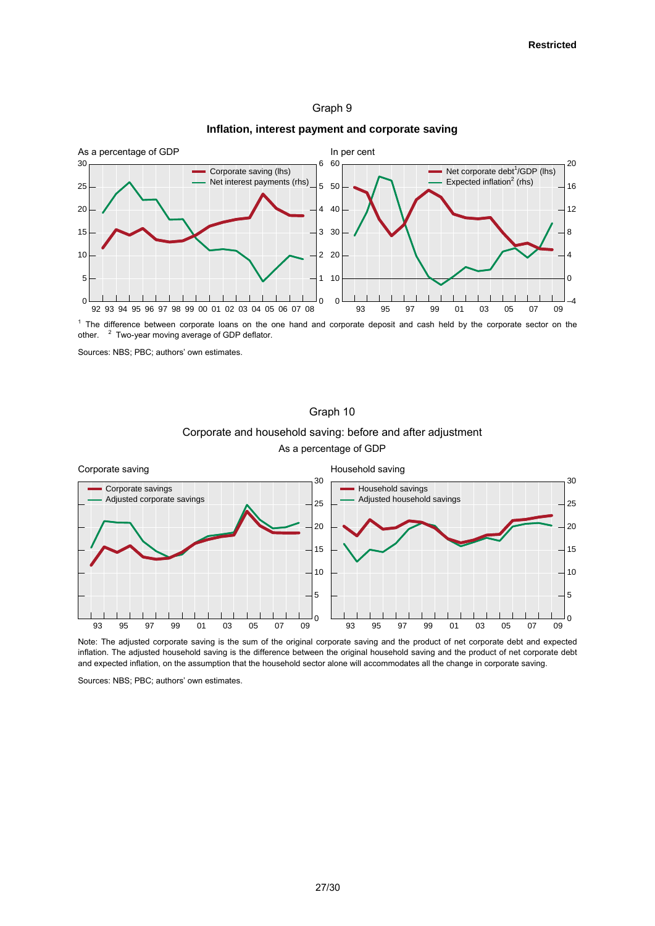

#### **Inflation, interest payment and corporate saving**

Sources: NBS; PBC; authors' own estimates.

#### Graph 10

#### Corporate and household saving: before and after adjustment As a percentage of GDP



Note: The adjusted corporate saving is the sum of the original corporate saving and the product of net corporate debt and expected inflation. The adjusted household saving is the difference between the original household saving and the product of net corporate debt and expected inflation, on the assumption that the household sector alone will accommodates all the change in corporate saving.

Sources: NBS; PBC; authors' own estimates.

<sup>&</sup>lt;sup>1</sup> The difference between corporate loans on the one hand and corporate deposit and cash held by the corporate sector on the other.  $2$  Two-year moving average of GDP deflator.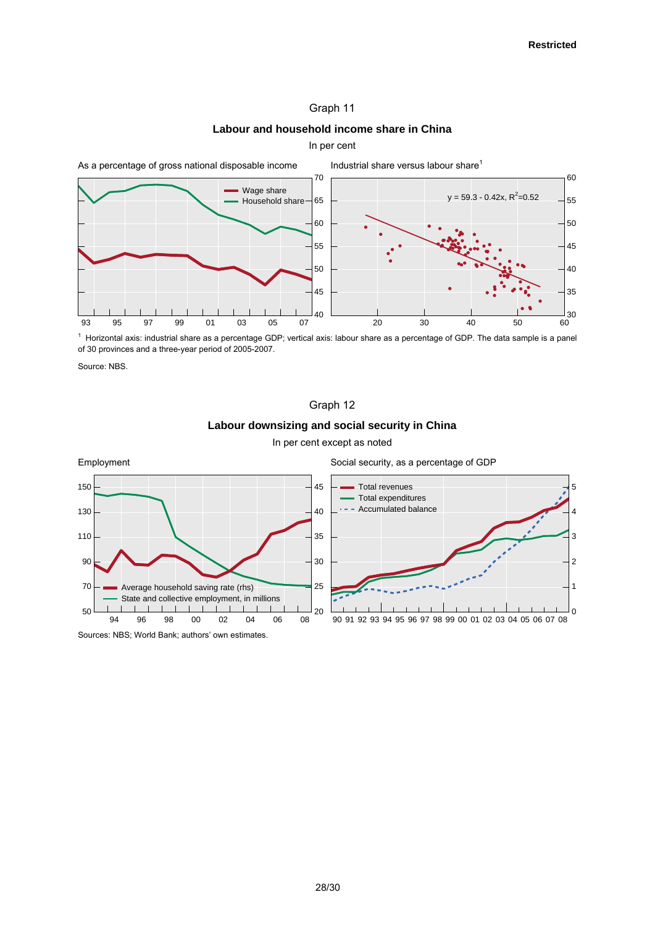## Graph 11 **Labour and household income share in China**



 $1$  Horizontal axis: industrial share as a percentage GDP; vertical axis: labour share as a percentage of GDP. The data sample is a panel of 30 provinces and a three-year period of 2005-2007.

Source: NBS.

#### Graph 12

#### **Labour downsizing and social security in China**



In per cent except as noted



Sources: NBS; World Bank; authors' own estimates.

28/30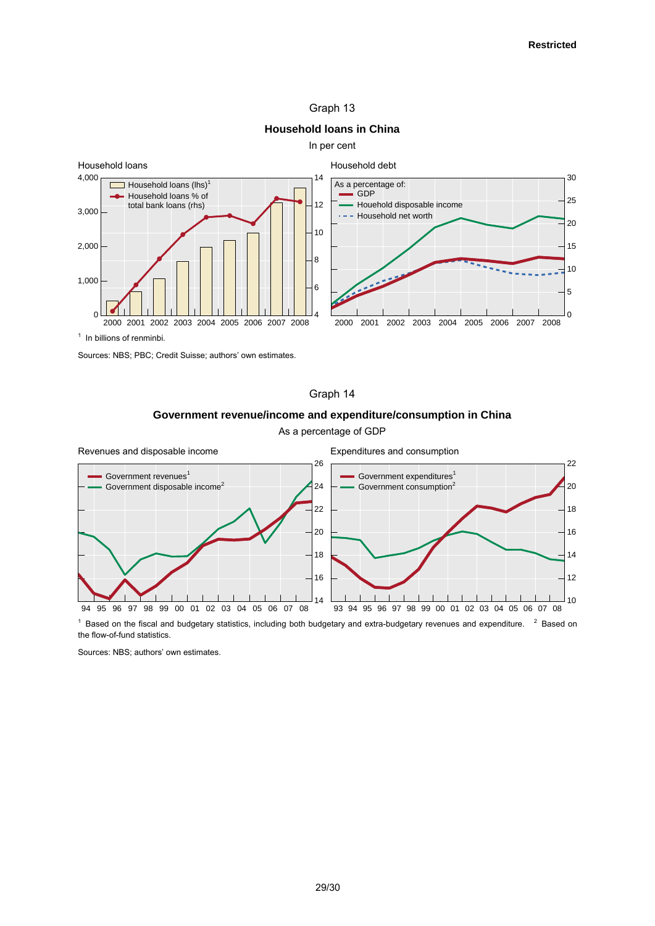



Sources: NBS; PBC; Credit Suisse; authors' own estimates.

#### Graph 14

#### **Government revenue/income and expenditure/consumption in China**  As a percentage of GDP



 $1$  Based on the fiscal and budgetary statistics, including both budgetary and extra-budgetary revenues and expenditure.  $2$  Based on the flow-of-fund statistics.

Sources: NBS; authors' own estimates.